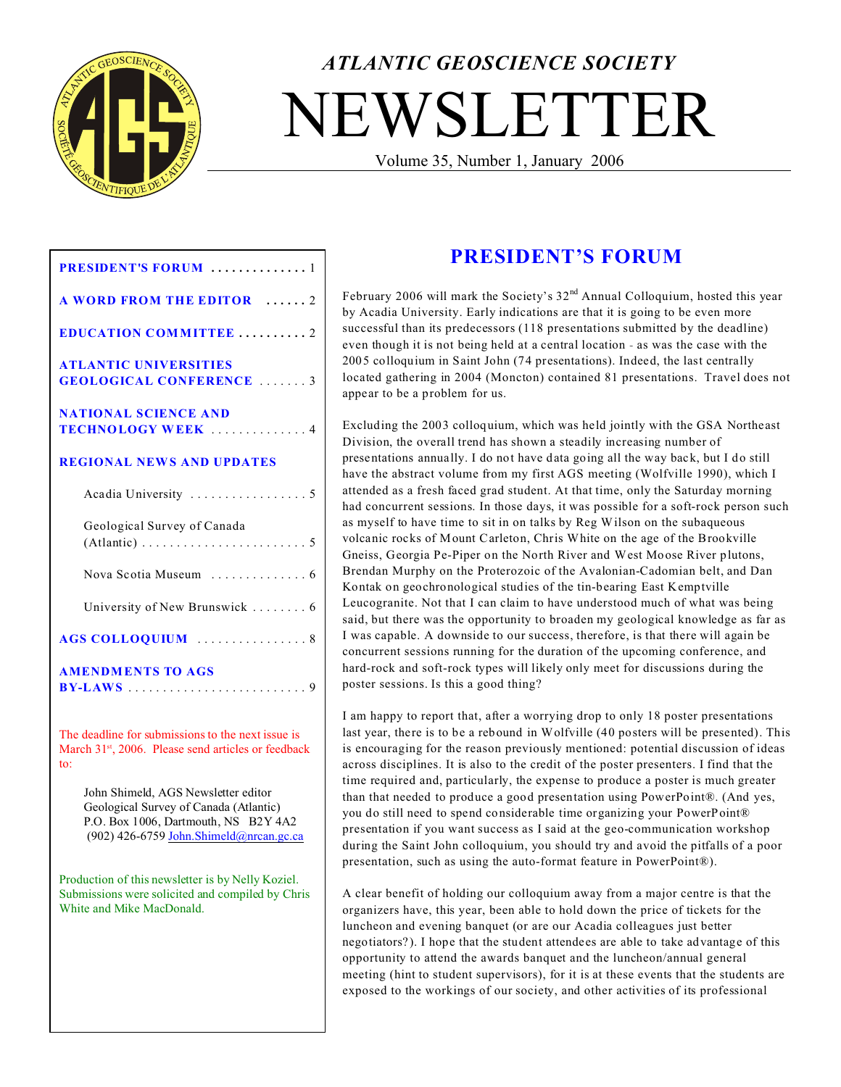

# *ATLANTIC GEOSCIENCE SOCIETY* NEWSLETTER

Volume 35, Number 1, January 2006

| <b>PRESIDENT'S FORUM</b> 1                                                                                                                                       |
|------------------------------------------------------------------------------------------------------------------------------------------------------------------|
| <b>A WORD FROM THE EDITOR 2</b>                                                                                                                                  |
| <b>EDUCATION COMMITTEE2</b>                                                                                                                                      |
| <b>ATLANTIC UNIVERSITIES</b><br><b>GEOLOGICAL CONFERENCE</b> 3                                                                                                   |
| <b>NATIONAL SCIENCE AND</b><br><b>TECHNOLOGY WEEK</b> 4                                                                                                          |
| <b>REGIONAL NEWS AND UPDATES</b>                                                                                                                                 |
|                                                                                                                                                                  |
| Geological Survey of Canada<br>$(Atlantic) \ldots \ldots \ldots \ldots \ldots \ldots \ldots 5$                                                                   |
|                                                                                                                                                                  |
| University of New Brunswick  6                                                                                                                                   |
| AGS COLLOQUIUM 8                                                                                                                                                 |
| <b>AMENDMENTS TO AGS</b>                                                                                                                                         |
| The deadline for submissions to the next issue is<br>March 31 <sup>st</sup> , 2006. Please send articles or feedback<br>to:                                      |
| John Shimeld, AGS Newsletter editor<br>Geological Survey of Canada (Atlantic)<br>P.O. Box 1006, Dartmouth, NS B2Y 4A2<br>(902) 426-6759 John.Shimeld@nrcan.gc.ca |
| Production of this newsletter is by Nelly Koziel.<br>Submissions were solicited and compiled by Chris<br>White and Mike MacDonald.                               |

# **PRESIDENT'S FORUM**

February 2006 will mark the Society's 32<sup>nd</sup> Annual Colloquium, hosted this year by Acadia University. Early indications are that it is going to be even more successful than its predecessors (118 presentations submitted by the deadline) even though it is not being held at a central location - as was the case with the 2005 colloquium in Saint John (74 presentations). Indeed, the last centrally located gathering in 2004 (Moncton) contained 81 presentations. Travel does not appear to be a problem for us.

Excluding the 2003 colloquium, which was held jointly with the GSA Northeast Division, the overall trend has shown a steadily increasing number of presentations annually. I do not have data going all the way back, but I do still have the abstract volume from my first AGS meeting (Wolfville 1990), which I attended as a fresh faced grad student. At that time, only the Saturday morning had concurrent sessions. In those days, it was possible for a soft-rock person such as myself to have time to sit in on talks by Reg Wilson on the subaqueous volcanic rocks of Mount Carleton, Chris White on the age of the Brookville Gneiss, Georgia Pe-Piper on the North River and West Moose River plutons, Brendan Murphy on the Proterozoic of the Avalonian-Cadomian belt, and Dan Kontak on geochronological studies of the tin-bearing East Kemptville Leucogranite. Not that I can claim to have understood much of what was being said, but there was the opportunity to broaden my geological knowledge as far as I was capable. A downside to our success, therefore, is that there will again be concurrent sessions running for the duration of the upcoming conference, and hard-rock and soft-rock types will likely only meet for discussions during the poster sessions. Is this a good thing?

I am happy to report that, after a worrying drop to only 18 poster presentations last year, there is to be a rebound in Wolfville (40 posters will be presented). This is encouraging for the reason previously mentioned: potential discussion of ideas across disciplines. It is also to the credit of the poster presenters. I find that the time required and, particularly, the expense to produce a poster is much greater than that needed to produce a good presentation using PowerPoint®. (And yes, you do still need to spend considerable time organizing your PowerPoint® presentation if you want success as I said at the geo-communication workshop during the Saint John colloquium, you should try and avoid the pitfalls of a poor presentation, such as using the auto-format feature in PowerPoint®).

A clear benefit of holding our colloquium away from a major centre is that the organizers have, this year, been able to hold down the price of tickets for the luncheon and evening banquet (or are our Acadia colleagues just better negotiators?). I hope that the student attendees are able to take advantage of this opportunity to attend the awards banquet and the luncheon/annual general meeting (hint to student supervisors), for it is at these events that the students are exposed to the workings of our society, and other activities of its professional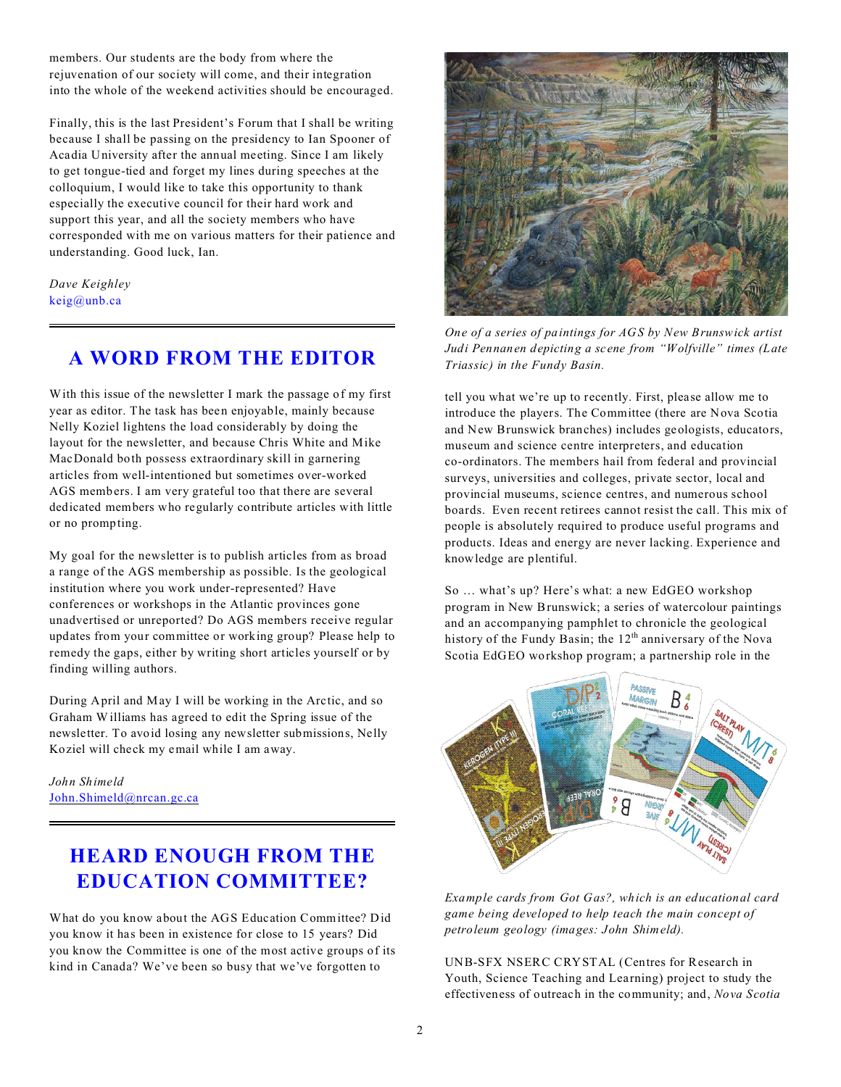members. Our students are the body from where the rejuvenation of our society will come, and their integration into the whole of the weekend activities should be encouraged.

Finally, this is the last President's Forum that I shall be writing because I shall be passing on the presidency to Ian Spooner of Acadia University after the annual meeting. Since I am likely to get tongue-tied and forget my lines during speeches at the colloquium, I would like to take this opportunity to thank especially the executive council for their hard work and support this year, and all the society members who have corresponded with me on various matters for their patience and understanding. Good luck, Ian.

*Dave Keighley* keig@unb.ca

## **A WORD FROM THE EDITOR**

With this issue of the newsletter I mark the passage of my first year as editor. The task has been enjoyable, mainly because Nelly Koziel lightens the load considerably by doing the layout for the newsletter, and because Chris White and Mike MacDonald both possess extraordinary skill in garnering articles from well-intentioned but sometimes over-worked AGS members. I am very grateful too that there are several dedicated members who regularly contribute articles with little or no prompting.

My goal for the newsletter is to publish articles from as broad a range of the AGS membership as possible. Is the geological institution where you work under-represented? Have conferences or workshops in the Atlantic provinces gone unadvertised or unreported? Do AGS members receive regular updates from your committee or working group? Please help to remedy the gaps, either by writing short articles yourself or by finding willing authors.

During April and May I will be working in the Arctic, and so Graham Williams has agreed to edit the Spring issue of the newsletter. To avoid losing any newsletter submissions, Nelly Koziel will check my email while I am away.

*John Shimeld* [John.Shimeld@nrcan.gc.ca](mailto:John.Shimeld@nrcan.gc.ca)

# **HEARD ENOUGH FROM THE EDUCATION COMMITTEE?**

What do you know about the AGS Education Committee? Did you know it has been in existence for close to 15 years? Did you know the Committee is one of the most active groups of its kind in Canada? We've been so busy that we've forgotten to



*One of a series of paintings for AGS by New Brunswick artist Judi Pennanen depicting a scene from "Wolfville" times (Late Triassic) in the Fundy Basin.*

tell you what we're up to recently. First, please allow me to introduce the players. The Committee (there are Nova Scotia and New Brunswick branches) includes geologists, educators, museum and science centre interpreters, and education co-ordinators. The members hail from federal and provincial surveys, universities and colleges, private sector, local and provincial museums, science centres, and numerous school boards. Even recent retirees cannot resist the call. This mix of people is absolutely required to produce useful programs and products. Ideas and energy are never lacking. Experience and knowledge are plentiful.

So … what's up? Here's what: a new EdGEO workshop program in New Brunswick; a series of watercolour paintings and an accompanying pamphlet to chronicle the geological history of the Fundy Basin; the  $12<sup>th</sup>$  anniversary of the Nova Scotia EdGEO workshop program; a partnership role in the



*Example cards from Got Gas?, which is an educational card game being developed to help teach the main concept of petroleum geology (images: John Shimeld).*

UNB-SFX NSERC CRYSTAL (Centres for Research in Youth, Science Teaching and Learning) project to study the effectiveness of outreach in the community; and, *Nova Scotia*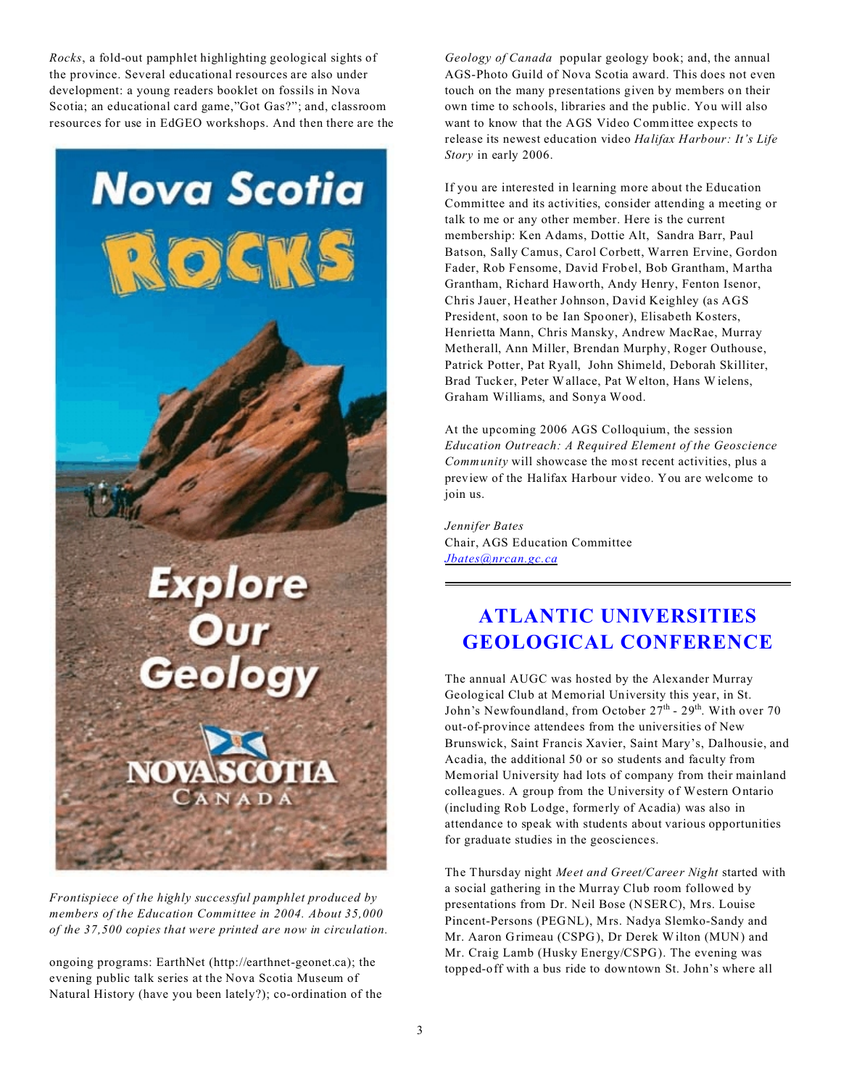*Rocks*, a fold-out pamphlet highlighting geological sights of the province. Several educational resources are also under development: a young readers booklet on fossils in Nova Scotia; an educational card game,"Got Gas?"; and, classroom resources for use in EdGEO workshops. And then there are the



*Frontispiece of the highly successful pamphlet produced by members of the Education Committee in 2004. About 35,000 of the 37,500 copies that were printed are now in circulation.*

ongoing programs: EarthNet (http://earthnet-geonet.ca); the evening public talk series at the Nova Scotia Museum of Natural History (have you been lately?); co-ordination of the *Geology of Canada* popular geology book; and, the annual AGS-Photo Guild of Nova Scotia award. This does not even touch on the many presentations given by members on their own time to schools, libraries and the public. You will also want to know that the AGS Video Committee expects to release its newest education video *Halifax Harbour: It's Life Story* in early 2006.

If you are interested in learning more about the Education Committee and its activities, consider attending a meeting or talk to me or any other member. Here is the current membership: Ken Adams, Dottie Alt, Sandra Barr, Paul Batson, Sally Camus, Carol Corbett, Warren Ervine, Gordon Fader, Rob Fensome, David Frobel, Bob Grantham, Martha Grantham, Richard Haworth, Andy Henry, Fenton Isenor, Chris Jauer, Heather Johnson, David Keighley (as AGS President, soon to be Ian Spooner), Elisabeth Kosters, Henrietta Mann, Chris Mansky, Andrew MacRae, Murray Metherall, Ann Miller, Brendan Murphy, Roger Outhouse, Patrick Potter, Pat Ryall, John Shimeld, Deborah Skilliter, Brad Tucker, Peter Wallace, Pat Welton, Hans W ielens, Graham Williams, and Sonya Wood.

At the upcoming 2006 AGS Colloquium, the session *Education Outreach: A Required Element of the Geoscience Community* will showcase the most recent activities, plus a preview of the Halifax Harbour video. You are welcome to join us.

*Jennifer Bates* Chair, AGS Education Committee *[Jbates@nrcan.gc.ca](mailto:Jbates@nrcan.gc.ca)*

# **ATLANTIC UNIVERSITIES GEOLOGICAL CONFERENCE**

The annual AUGC was hosted by the Alexander Murray Geological Club at Memorial University this year, in St. John's Newfoundland, from October 27<sup>th</sup> - 29<sup>th</sup>. With over 70 out-of-province attendees from the universities of New Brunswick, Saint Francis Xavier, Saint Mary's, Dalhousie, and Acadia, the additional 50 or so students and faculty from Memorial University had lots of company from their mainland colleagues. A group from the University of Western Ontario (including Rob Lodge, formerly of Acadia) was also in attendance to speak with students about various opportunities for graduate studies in the geosciences.

The Thursday night *Meet and Greet/Career Night* started with a social gathering in the Murray Club room followed by presentations from Dr. Neil Bose (NSERC), Mrs. Louise Pincent-Persons (PEGNL), Mrs. Nadya Slemko-Sandy and Mr. Aaron Grimeau (CSPG), Dr Derek Wilton (MUN) and Mr. Craig Lamb (Husky Energy/CSPG). The evening was topped-off with a bus ride to downtown St. John's where all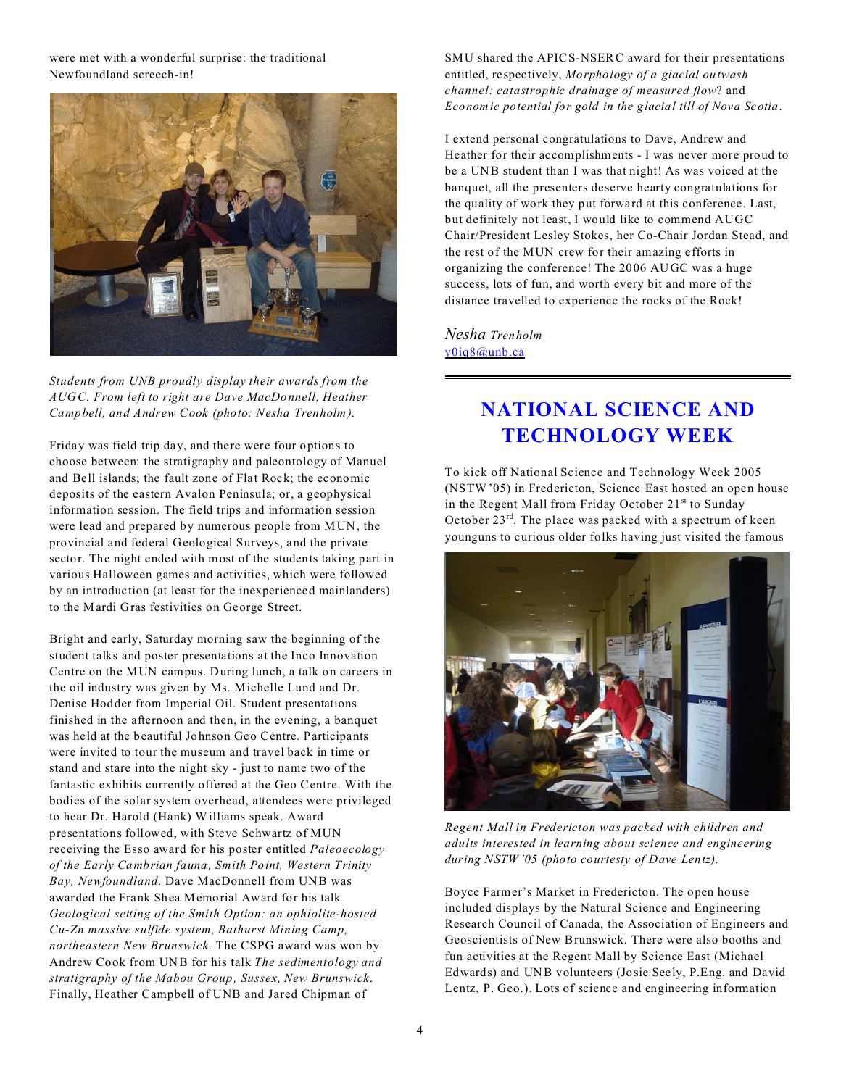#### were met with a wonderful surprise: the traditional Newfoundland screech-in!



*Students from UNB proudly display their awards from the AUGC. From left to right are Dave MacDonnell, Heather Campbell, and Andrew Cook (photo: Nesha Trenholm).*

Friday was field trip day, and there were four options to choose between: the stratigraphy and paleontology of Manuel and Bell islands; the fault zone of Flat Rock; the economic deposits of the eastern Avalon Peninsula; or, a geophysical information session. The field trips and information session were lead and prepared by numerous people from MUN, the provincial and federal Geological Surveys, and the private sector. The night ended with most of the students taking part in various Halloween games and activities, which were followed by an introduction (at least for the inexperienced mainlanders) to the Mardi Gras festivities on George Street.

Bright and early, Saturday morning saw the beginning of the student talks and poster presentations at the Inco Innovation Centre on the MUN campus. During lunch, a talk on careers in the oil industry was given by Ms. Michelle Lund and Dr. Denise Hodder from Imperial Oil. Student presentations finished in the afternoon and then, in the evening, a banquet was held at the beautiful Johnson Geo Centre. Participants were invited to tour the museum and travel back in time or stand and stare into the night sky - just to name two of the fantastic exhibits currently offered at the Geo Centre. With the bodies of the solar system overhead, attendees were privileged to hear Dr. Harold (Hank) Williams speak. Award presentations followed, with Steve Schwartz of MUN receiving the Esso award for his poster entitled *Paleoecology of the Early Cambrian fauna, Smith Point, Western Trinity Bay, Newfoundland*. Dave MacDonnell from UNB was awarded the Frank Shea Memorial Award for his talk *Geological setting of the Smith Option: an ophiolite-hosted Cu-Zn massive sulfide system, Bathurst Mining Camp, northeastern New Brunswick*. The CSPG award was won by Andrew Cook from UNB for his talk *The sedimentology and stratigraphy of the Mabou Group, Sussex, New Brunswick*. Finally, Heather Campbell of UNB and Jared Chipman of

SMU shared the APICS-NSERC award for their presentations entitled, respectively, *Morphology of a glacial outwash channel: catastrophic drainage of measured flow*? and *Economic potential for gold in the glacial till of Nova Scotia*.

I extend personal congratulations to Dave, Andrew and Heather for their accomplishments - I was never more proud to be a UNB student than I was that night! As was voiced at the banquet, all the presenters deserve hearty congratulations for the quality of work they put forward at this conference. Last, but definitely not least, I would like to commend AUGC Chair/President Lesley Stokes, her Co-Chair Jordan Stead, and the rest of the MUN crew for their amazing efforts in organizing the conference! The 2006 AUGC was a huge success, lots of fun, and worth every bit and more of the distance travelled to experience the rocks of the Rock!

*Nesha Trenholm* [y0iq8@unb.ca](mailto:y0iq8@unb.ca)

# **NATIONAL SCIENCE AND TECHNOLOGY WEEK**

To kick off National Science and Technology Week 2005 (NSTW'05) in Fredericton, Science East hosted an open house in the Regent Mall from Friday October 21<sup>st</sup> to Sunday October 23rd. The place was packed with a spectrum of keen younguns to curious older folks having just visited the famous



*Regent Mall in Fredericton was packed with children and adults interested in learning about science and engineering during NSTW'05 (photo courtesty of Dave Lentz).*

Boyce Farmer's Market in Fredericton. The open house included displays by the Natural Science and Engineering Research Council of Canada, the Association of Engineers and Geoscientists of New Brunswick. There were also booths and fun activities at the Regent Mall by Science East (Michael Edwards) and UNB volunteers (Josie Seely, P.Eng. and David Lentz, P. Geo.). Lots of science and engineering information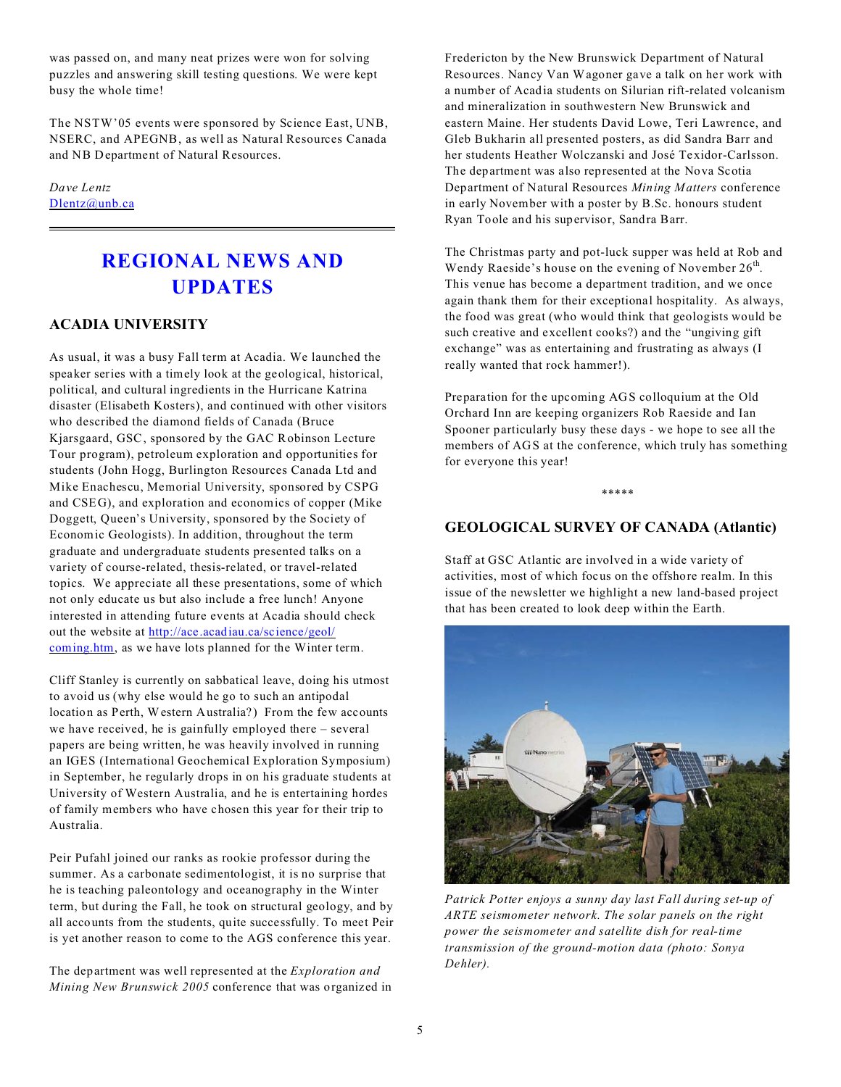was passed on, and many neat prizes were won for solving puzzles and answering skill testing questions. We were kept busy the whole time!

The NSTW'05 events were sponsored by Science East, UNB, NSERC, and APEGNB, as well as Natural Resources Canada and NB Department of Natural Resources.

#### *Dave Lentz* [Dlentz@unb.ca](mailto:Dlentz@unb.ca)

## **REGIONAL NEWS AND UPDATES**

#### **ACADIA UNIVERSITY**

As usual, it was a busy Fall term at Acadia. We launched the speaker series with a timely look at the geological, historical, political, and cultural ingredients in the Hurricane Katrina disaster (Elisabeth Kosters), and continued with other visitors who described the diamond fields of Canada (Bruce Kjarsgaard, GSC, sponsored by the GAC Robinson Lecture Tour program), petroleum exploration and opportunities for students (John Hogg, Burlington Resources Canada Ltd and Mike Enachescu, Memorial University, sponsored by CSPG and CSEG), and exploration and economics of copper (Mike Doggett, Queen's University, sponsored by the Society of Economic Geologists). In addition, throughout the term graduate and undergraduate students presented talks on a variety of course-related, thesis-related, or travel-related topics. We appreciate all these presentations, some of which not only educate us but also include a free lunch! Anyone interested in attending future events at Acadia should check out the website at [http://ace.acadiau.ca/science/geol/](http://ace.acadiau.ca/science/geol/coming.htm) [coming.htm](http://ace.acadiau.ca/science/geol/coming.htm), as we have lots planned for the Winter term.

Cliff Stanley is currently on sabbatical leave, doing his utmost to avoid us (why else would he go to such an antipodal location as Perth, Western Australia?) From the few accounts we have received, he is gainfully employed there – several papers are being written, he was heavily involved in running an IGES (International Geochemical Exploration Symposium) in September, he regularly drops in on his graduate students at University of Western Australia, and he is entertaining hordes of family members who have chosen this year for their trip to Australia.

Peir Pufahl joined our ranks as rookie professor during the summer. As a carbonate sedimentologist, it is no surprise that he is teaching paleontology and oceanography in the Winter term, but during the Fall, he took on structural geology, and by all accounts from the students, quite successfully. To meet Peir is yet another reason to come to the AGS conference this year.

The department was well represented at the *Exploration and Mining New Brunswick 2005* conference that was organized in Fredericton by the New Brunswick Department of Natural Resources. Nancy Van Wagoner gave a talk on her work with a number of Acadia students on Silurian rift-related volcanism and mineralization in southwestern New Brunswick and eastern Maine. Her students David Lowe, Teri Lawrence, and Gleb Bukharin all presented posters, as did Sandra Barr and her students Heather Wolczanski and José Texidor-Carlsson. The department was also represented at the Nova Scotia Department of Natural Resources *Mining Matters* conference in early November with a poster by B.Sc. honours student Ryan Toole and his supervisor, Sandra Barr.

The Christmas party and pot-luck supper was held at Rob and Wendy Raeside's house on the evening of November  $26<sup>th</sup>$ . This venue has become a department tradition, and we once again thank them for their exceptional hospitality. As always, the food was great (who would think that geologists would be such creative and excellent cooks?) and the "ungiving gift exchange" was as entertaining and frustrating as always (I really wanted that rock hammer!).

Preparation for the upcoming AGS colloquium at the Old Orchard Inn are keeping organizers Rob Raeside and Ian Spooner particularly busy these days - we hope to see all the members of AGS at the conference, which truly has something for everyone this year!

\*\*\*\*\*

#### **GEOLOGICAL SURVEY OF CANADA (Atlantic)**

Staff at GSC Atlantic are involved in a wide variety of activities, most of which focus on the offshore realm. In this issue of the newsletter we highlight a new land-based project that has been created to look deep within the Earth.



*Patrick Potter enjoys a sunny day last Fall during set-up of ARTE seismometer network. The solar panels on the right power the seismometer and satellite dish for real-time transmission of the ground-motion data (photo: Sonya Dehler).*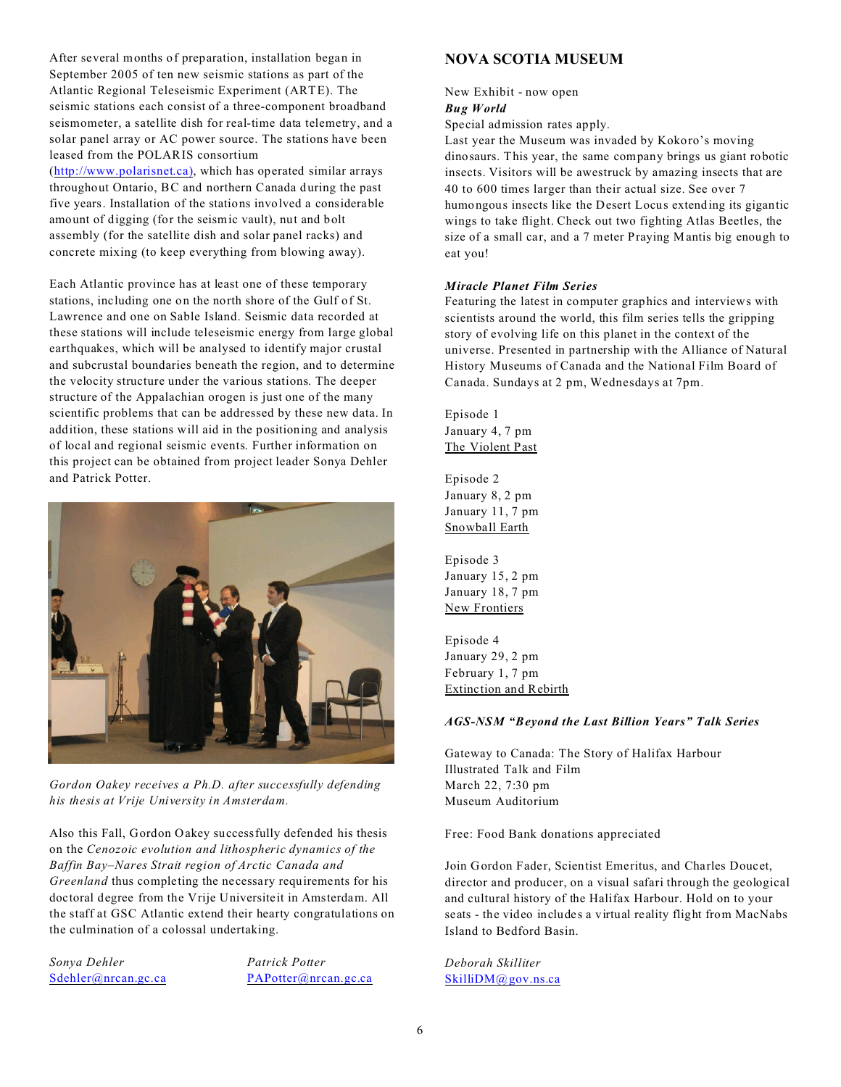After several months of preparation, installation began in September 2005 of ten new seismic stations as part of the Atlantic Regional Teleseismic Experiment (ARTE). The seismic stations each consist of a three-component broadband seismometer, a satellite dish for real-time data telemetry, and a solar panel array or AC power source. The stations have been leased from the POLARIS consortium

([http://www.polarisnet.ca\)](http://(http://www.polarisnet.ca)), which has operated similar arrays throughout Ontario, BC and northern Canada during the past five years. Installation of the stations involved a considerable amount of digging (for the seismic vault), nut and bolt assembly (for the satellite dish and solar panel racks) and concrete mixing (to keep everything from blowing away).

Each Atlantic province has at least one of these temporary stations, including one on the north shore of the Gulf of St. Lawrence and one on Sable Island. Seismic data recorded at these stations will include teleseismic energy from large global earthquakes, which will be analysed to identify major crustal and subcrustal boundaries beneath the region, and to determine the velocity structure under the various stations. The deeper structure of the Appalachian orogen is just one of the many scientific problems that can be addressed by these new data. In addition, these stations will aid in the positioning and analysis of local and regional seismic events. Further information on this project can be obtained from project leader Sonya Dehler and Patrick Potter.



*Gordon Oakey receives a Ph.D. after successfully defending his thesis at Vrije University in Amsterdam.*

Also this Fall, Gordon Oakey successfully defended his thesis on the *Cenozoic evolution and lithospheric dynamics of the Baffin Bay–Nares Strait region of Arctic Canada and Greenland* thus completing the necessary requirements for his doctoral degree from the Vrije Universiteit in Amsterdam. All the staff at GSC Atlantic extend their hearty congratulations on the culmination of a colossal undertaking.

*Sonya Dehler Patrick Potter*

[Sdehler@nrcan.gc.ca](mailto:Sdehler@nrcan.gc.ca) [PAPotter@nrcan.gc.ca](mailto:PAPotter@nrcan.gc.ca)

#### **NOVA SCOTIA MUSEUM**

New Exhibit - now open *Bug World*

Special admission rates apply.

Last year the Museum was invaded by Kokoro's moving dinosaurs. This year, the same company brings us giant robotic insects. Visitors will be awestruck by amazing insects that are 40 to 600 times larger than their actual size. See over 7 humongous insects like the Desert Locus extending its gigantic wings to take flight. Check out two fighting Atlas Beetles, the size of a small car, and a 7 meter Praying Mantis big enough to eat you!

#### *Miracle Planet Film Series*

Featuring the latest in computer graphics and interviews with scientists around the world, this film series tells the gripping story of evolving life on this planet in the context of the universe. Presented in partnership with the Alliance of Natural History Museums of Canada and the National Film Board of Canada. Sundays at 2 pm, Wednesdays at 7pm.

Episode 1 January 4, 7 pm The Violent Past

Episode 2 January 8, 2 pm January 11, 7 pm Snowball Earth

Episode 3 January 15, 2 pm January 18, 7 pm New Frontiers

Episode 4 January 29, 2 pm February 1, 7 pm Extinction and Rebirth

#### *AGS-NSM "Beyond the Last Billion Years" Talk Series*

Gateway to Canada: The Story of Halifax Harbour Illustrated Talk and Film March 22, 7:30 pm Museum Auditorium

Free: Food Bank donations appreciated

Join Gordon Fader, Scientist Emeritus, and Charles Doucet, director and producer, on a visual safari through the geological and cultural history of the Halifax Harbour. Hold on to your seats - the video includes a virtual reality flight from MacNabs Island to Bedford Basin.

*Deborah Skilliter* [SkilliDM@gov.ns.ca](mailto:SkilliDM@gov.ns.ca)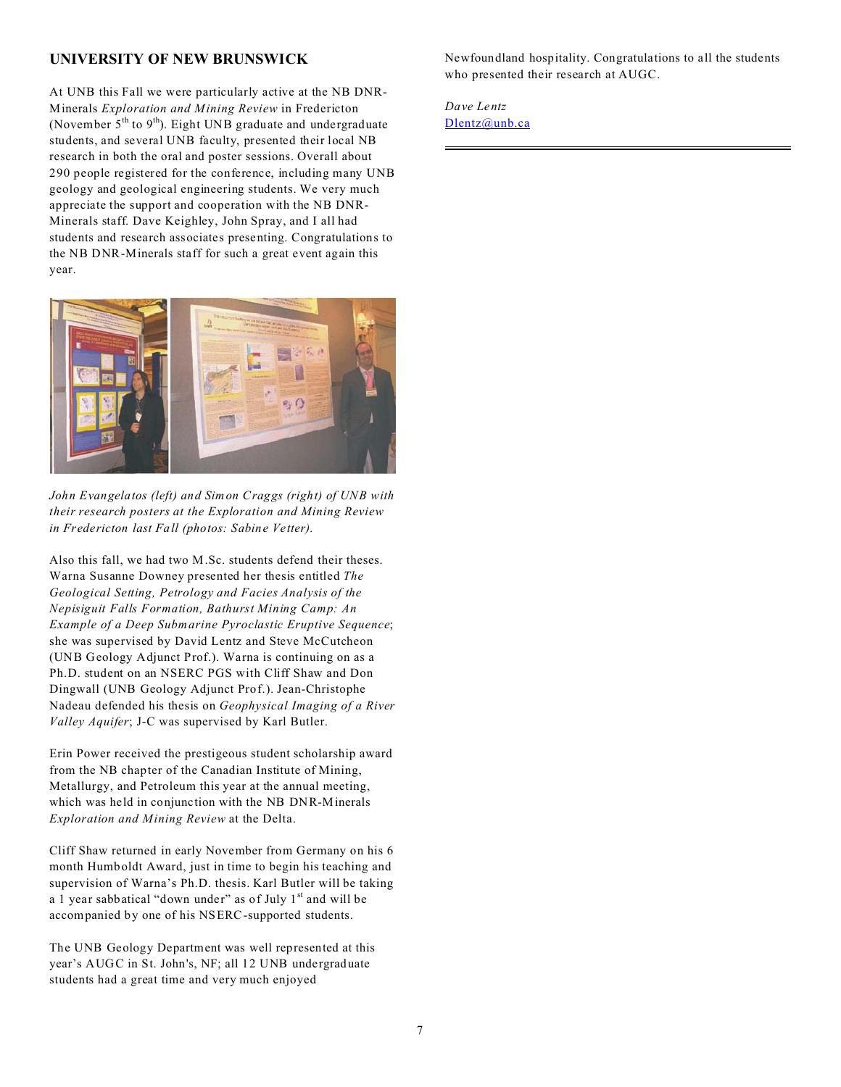#### **UNIVERSITY OF NEW BRUNSWICK**

At UNB this Fall we were particularly active at the NB DNR-Minerals *Exploration and Mining Review* in Fredericton (November  $5<sup>th</sup>$  to  $9<sup>th</sup>$ ). Eight UNB graduate and undergraduate students, and several UNB faculty, presented their local NB research in both the oral and poster sessions. Overall about 290 people registered for the conference, including many UNB geology and geological engineering students. We very much appreciate the support and cooperation with the NB DNR-Minerals staff. Dave Keighley, John Spray, and I all had students and research associates presenting. Congratulations to the NB DNR-Minerals staff for such a great event again this year.



*John Evangelatos (left) and Simon Craggs (right) of UNB with their research posters at the Exploration and Mining Review in Fredericton last Fall (photos: Sabine Vetter).*

Also this fall, we had two M.Sc. students defend their theses. Warna Susanne Downey presented her thesis entitled *The Geological Setting, Petrology and Facies Analysis of the Nepisiguit Falls Formation, Bathurst Mining Camp: An Example of a Deep Submarine Pyroclastic Eruptive Sequence*; she was supervised by David Lentz and Steve McCutcheon (UNB Geology Adjunct Prof.). Warna is continuing on as a Ph.D. student on an NSERC PGS with Cliff Shaw and Don Dingwall (UNB Geology Adjunct Prof.). Jean-Christophe Nadeau defended his thesis on *Geophysical Imaging of a River Valley Aquifer*; J-C was supervised by Karl Butler.

Erin Power received the prestigeous student scholarship award from the NB chapter of the Canadian Institute of Mining, Metallurgy, and Petroleum this year at the annual meeting, which was held in conjunction with the NB DNR-Minerals *Exploration and Mining Review* at the Delta.

Cliff Shaw returned in early November from Germany on his 6 month Humboldt Award, just in time to begin his teaching and supervision of Warna's Ph.D. thesis. Karl Butler will be taking a 1 year sabbatical "down under" as of July 1<sup>st</sup> and will be accompanied by one of his NSERC-supported students.

The UNB Geology Department was well represented at this year's AUGC in St. John's, NF; all 12 UNB undergraduate students had a great time and very much enjoyed

Newfoundland hospitality. Congratulations to all the students who presented their research at AUGC.

*Dave Lentz* [Dlentz@unb.ca](mailto:Dlentz@unb.ca)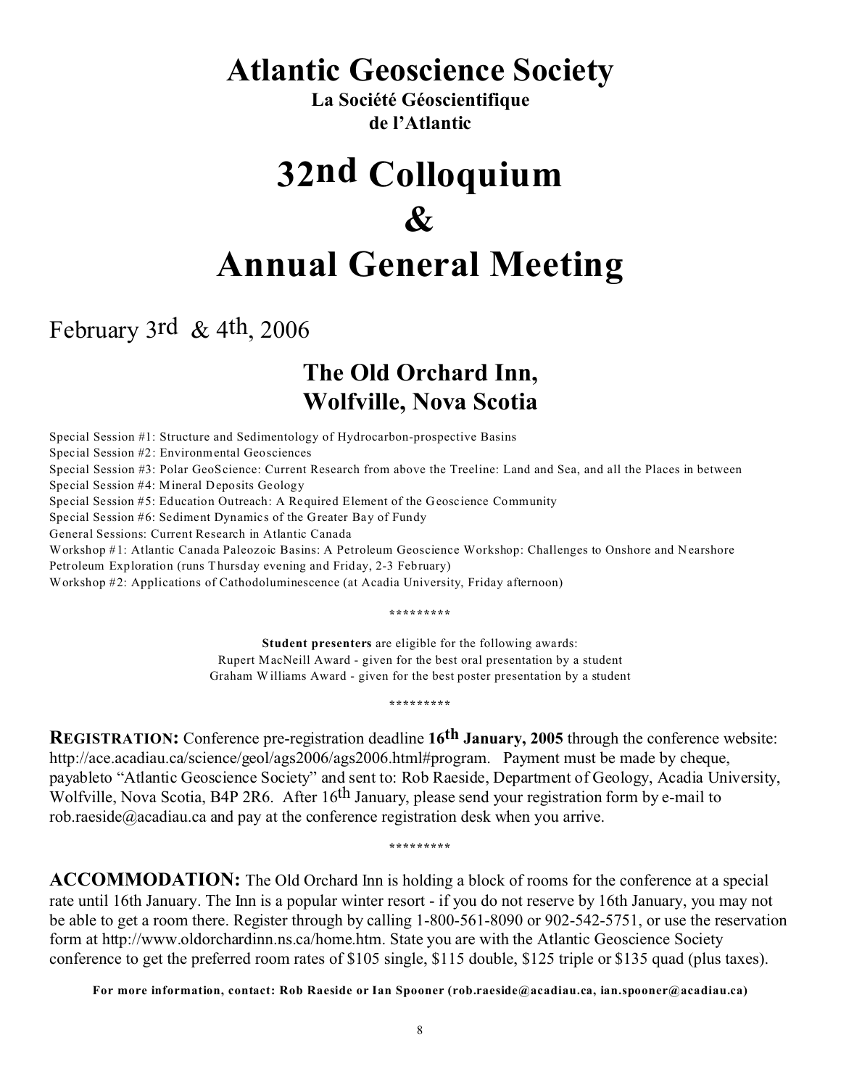# **Atlantic Geoscience Society**

**La Société Géoscientifique de l'Atlantic**

# **32nd Colloquium & Annual General Meeting**

February 3rd & 4th, 2006

# **The Old Orchard Inn, Wolfville, Nova Scotia**

Special Session #1: Structure and Sedimentology of Hydrocarbon-prospective Basins Special Session #2: Environmental Geosciences Special Session #3: Polar GeoScience: Current Research from above the Treeline: Land and Sea, and all the Places in between Special Session #4: Mineral Deposits Geology Special Session #5: Education Outreach: A Required Element of the Geoscience Community Special Session #6: Sediment Dynamics of the Greater Bay of Fundy General Sessions: Current Research in Atlantic Canada Workshop #1: Atlantic Canada Paleozoic Basins: A Petroleum Geoscience Workshop: Challenges to Onshore and Nearshore Petroleum Exploration (runs Thursday evening and Friday, 2-3 February) Workshop #2: Applications of Cathodoluminescence (at Acadia University, Friday afternoon)

**\*\*\*\*\*\*\*\*\***

**Student presenters** are eligible for the following awards: Rupert MacNeill Award - given for the best oral presentation by a student Graham Williams Award - given for the best poster presentation by a student

**\*\*\*\*\*\*\*\*\***

**REGISTRATION:** Conference pre-registration deadline **16th January, 2005** through the conference website: http://ace.acadiau.ca/science/geol/ags2006/ags2006.html#program. Payment must be made by cheque, payableto "Atlantic Geoscience Society" and sent to: Rob Raeside, Department of Geology, Acadia University, Wolfville, Nova Scotia, B4P 2R6. After 16<sup>th</sup> January, please send your registration form by e-mail to rob.raeside@acadiau.ca and pay at the conference registration desk when you arrive.

**\*\*\*\*\*\*\*\*\***

**ACCOMMODATION:** The Old Orchard Inn is holding a block of rooms for the conference at a special rate until 16th January. The Inn is a popular winter resort - if you do not reserve by 16th January, you may not be able to get a room there. Register through by calling 1-800-561-8090 or 902-542-5751, or use the reservation form at http://www.oldorchardinn.ns.ca/home.htm. State you are with the Atlantic Geoscience Society conference to get the preferred room rates of \$105 single, \$115 double, \$125 triple or \$135 quad (plus taxes).

**For more information, contact: Rob Raeside or Ian Spooner (rob.raeside@acadiau.ca, ian.spooner@acadiau.ca)**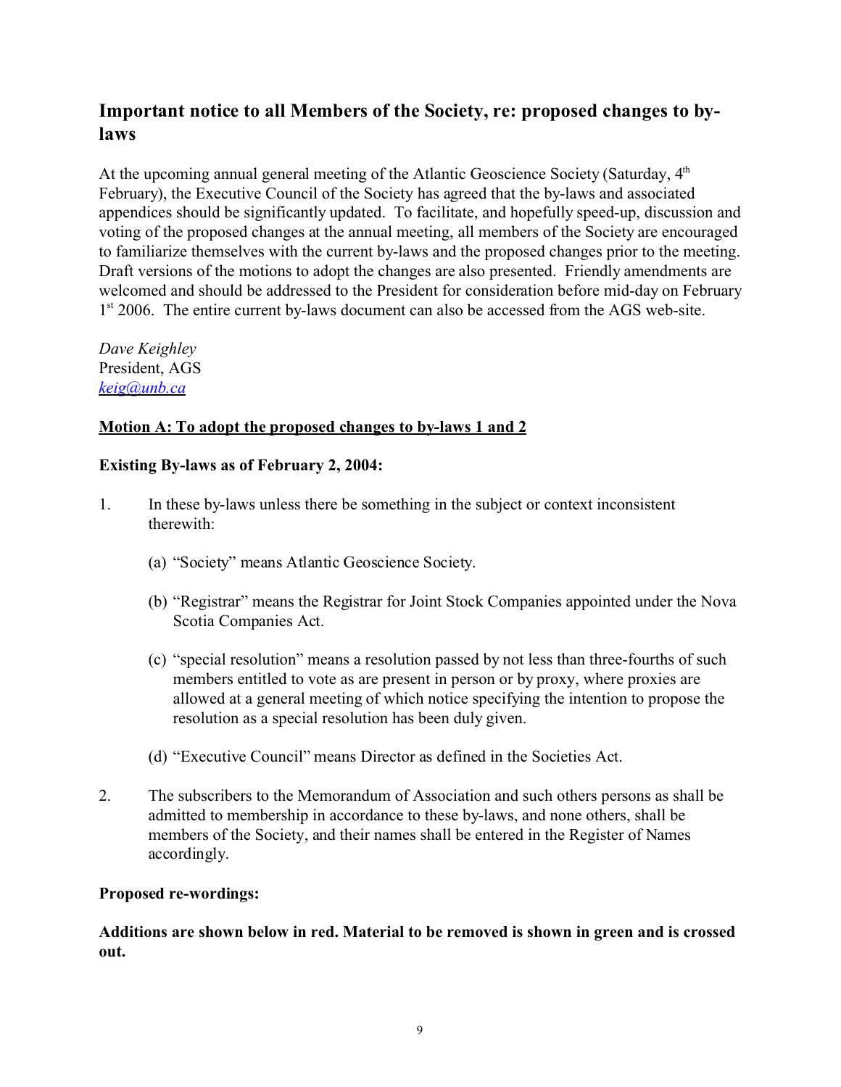## **Important notice to all Members of the Society, re: proposed changes to bylaws**

At the upcoming annual general meeting of the Atlantic Geoscience Society (Saturday, 4<sup>th</sup>) February), the Executive Council of the Society has agreed that the by-laws and associated appendices should be significantly updated. To facilitate, and hopefully speed-up, discussion and voting of the proposed changes at the annual meeting, all members of the Society are encouraged to familiarize themselves with the current by-laws and the proposed changes prior to the meeting. Draft versions of the motions to adopt the changes are also presented. Friendly amendments are welcomed and should be addressed to the President for consideration before mid-day on February 1<sup>st</sup> 2006. The entire current by-laws document can also be accessed from the AGS web-site.

*Dave Keighley* President, AGS *[keig@unb.ca](mailto:keig@unb.ca)*

#### **Motion A: To adopt the proposed changes to by-laws 1 and 2**

#### **Existing By-laws as of February 2, 2004:**

- 1. In these by-laws unless there be something in the subject or context inconsistent therewith:
	- (a) "Society" means Atlantic Geoscience Society.
	- (b) "Registrar" means the Registrar for Joint Stock Companies appointed under the Nova Scotia Companies Act.
	- (c) "special resolution" means a resolution passed by not less than three-fourths of such members entitled to vote as are present in person or by proxy, where proxies are allowed at a general meeting of which notice specifying the intention to propose the resolution as a special resolution has been duly given.
	- (d) "Executive Council" means Director as defined in the Societies Act.
- 2. The subscribers to the Memorandum of Association and such others persons as shall be admitted to membership in accordance to these by-laws, and none others, shall be members of the Society, and their names shall be entered in the Register of Names accordingly.

#### **Proposed re-wordings:**

**Additions are shown below in red. Material to be removed is shown in green and is crossed out.**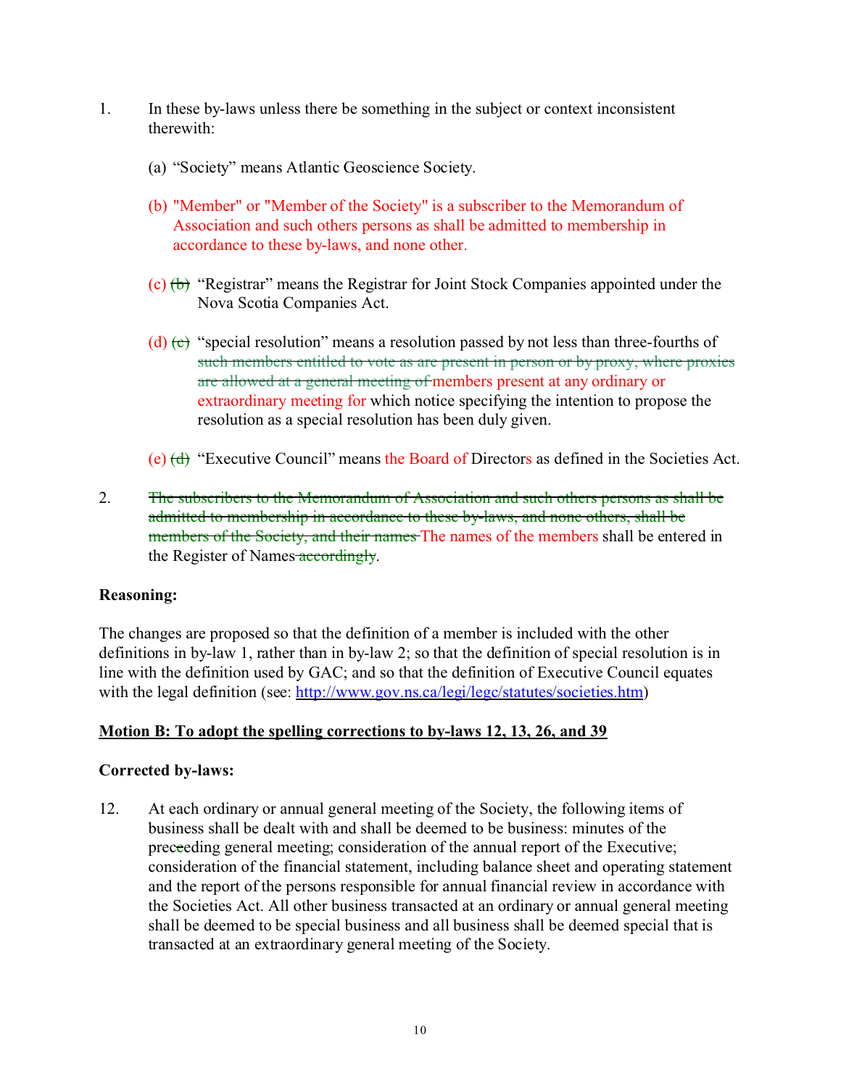- 1. In these by-laws unless there be something in the subject or context inconsistent therewith:
	- (a) "Society" means Atlantic Geoscience Society.
	- (b) "Member" or "Member of the Society" is a subscriber to the Memorandum of Association and such others persons as shall be admitted to membership in accordance to these by-laws, and none other.
	- (c) (b) "Registrar" means the Registrar for Joint Stock Companies appointed under the Nova Scotia Companies Act.
	- (d)  $(e)$  "special resolution" means a resolution passed by not less than three-fourths of such members entitled to vote as are present in person or by proxy, where proxies are allowed at a general meeting of members present at any ordinary or extraordinary meeting for which notice specifying the intention to propose the resolution as a special resolution has been duly given.
	- (e) (d) "Executive Council" means the Board of Directors as defined in the Societies Act.
- 2. The subscribers to the Memorandum of Association and such others persons as shall be admitted to membership in accordance to these by-laws, and none others, shall be members of the Society, and their names The names of the members shall be entered in the Register of Names accordingly.

#### **Reasoning:**

The changes are proposed so that the definition of a member is included with the other definitions in by-law 1, rather than in by-law 2; so that the definition of special resolution is in line with the definition used by GAC; and so that the definition of Executive Council equates with the legal definition (see: [http://www.gov.ns.ca/legi/legc/statutes/societies.htm](http://www.gov.ns.ca/legi/legc/statutes/societie.htm))

#### **Motion B: To adopt the spelling corrections to by-laws 12, 13, 26, and 39**

#### **Corrected by-laws:**

12. At each ordinary or annual general meeting of the Society, the following items of business shall be dealt with and shall be deemed to be business: minutes of the preceeding general meeting; consideration of the annual report of the Executive; consideration of the financial statement, including balance sheet and operating statement and the report of the persons responsible for annual financial review in accordance with the Societies Act. All other business transacted at an ordinary or annual general meeting shall be deemed to be special business and all business shall be deemed special that is transacted at an extraordinary general meeting of the Society.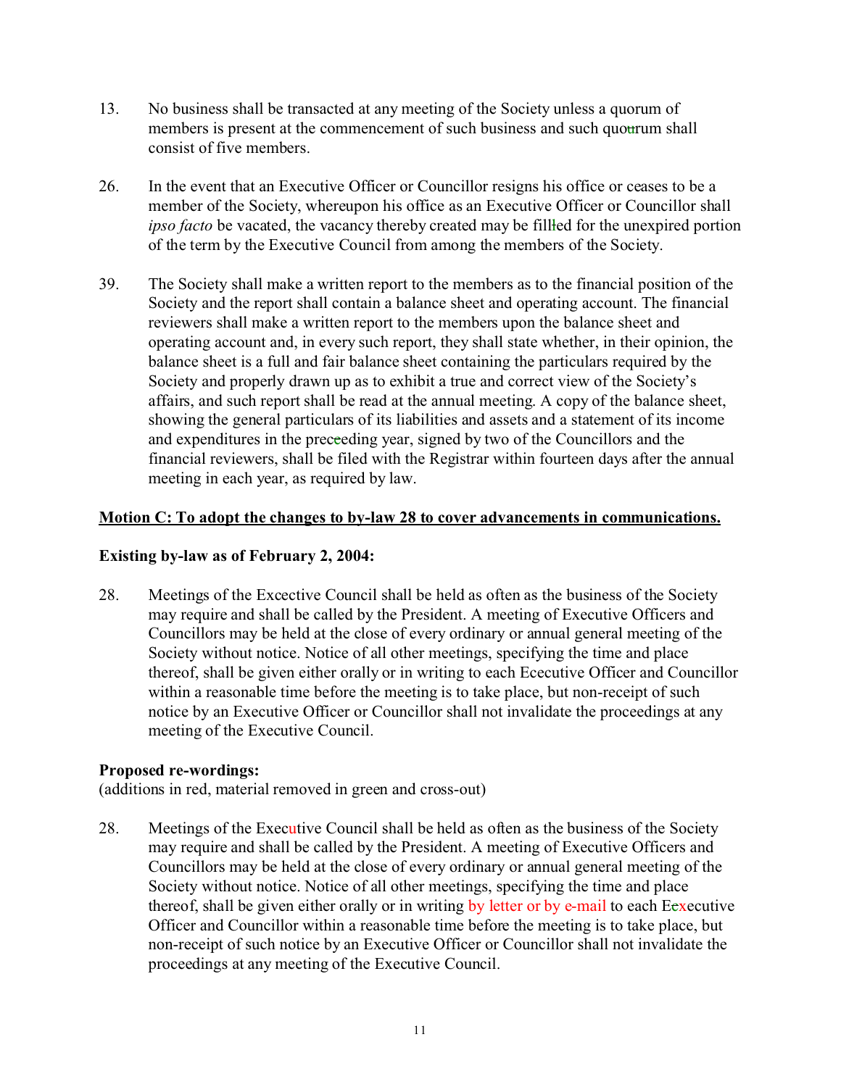- 13. No business shall be transacted at any meeting of the Society unless a quorum of members is present at the commencement of such business and such quourum shall consist of five members.
- 26. In the event that an Executive Officer or Councillor resigns his office or ceases to be a member of the Society, whereupon his office as an Executive Officer or Councillor shall *ipso facto* be vacated, the vacancy thereby created may be filled for the unexpired portion of the term by the Executive Council from among the members of the Society.
- 39. The Society shall make a written report to the members as to the financial position of the Society and the report shall contain a balance sheet and operating account. The financial reviewers shall make a written report to the members upon the balance sheet and operating account and, in every such report, they shall state whether, in their opinion, the balance sheet is a full and fair balance sheet containing the particulars required by the Society and properly drawn up as to exhibit a true and correct view of the Society's affairs, and such report shall be read at the annual meeting. A copy of the balance sheet, showing the general particulars of its liabilities and assets and a statement of its income and expenditures in the preceeding year, signed by two of the Councillors and the financial reviewers, shall be filed with the Registrar within fourteen days after the annual meeting in each year, as required by law.

#### **Motion C: To adopt the changes to by-law 28 to cover advancements in communications.**

#### **Existing by-law as of February 2, 2004:**

28. Meetings of the Excective Council shall be held as often as the business of the Society may require and shall be called by the President. A meeting of Executive Officers and Councillors may be held at the close of every ordinary or annual general meeting of the Society without notice. Notice of all other meetings, specifying the time and place thereof, shall be given either orally or in writing to each Ececutive Officer and Councillor within a reasonable time before the meeting is to take place, but non-receipt of such notice by an Executive Officer or Councillor shall not invalidate the proceedings at any meeting of the Executive Council.

#### **Proposed re-wordings:**

(additions in red, material removed in green and cross-out)

28. Meetings of the Executive Council shall be held as often as the business of the Society may require and shall be called by the President. A meeting of Executive Officers and Councillors may be held at the close of every ordinary or annual general meeting of the Society without notice. Notice of all other meetings, specifying the time and place thereof, shall be given either orally or in writing by letter or by e-mail to each Ecxecutive Officer and Councillor within a reasonable time before the meeting is to take place, but non-receipt of such notice by an Executive Officer or Councillor shall not invalidate the proceedings at any meeting of the Executive Council.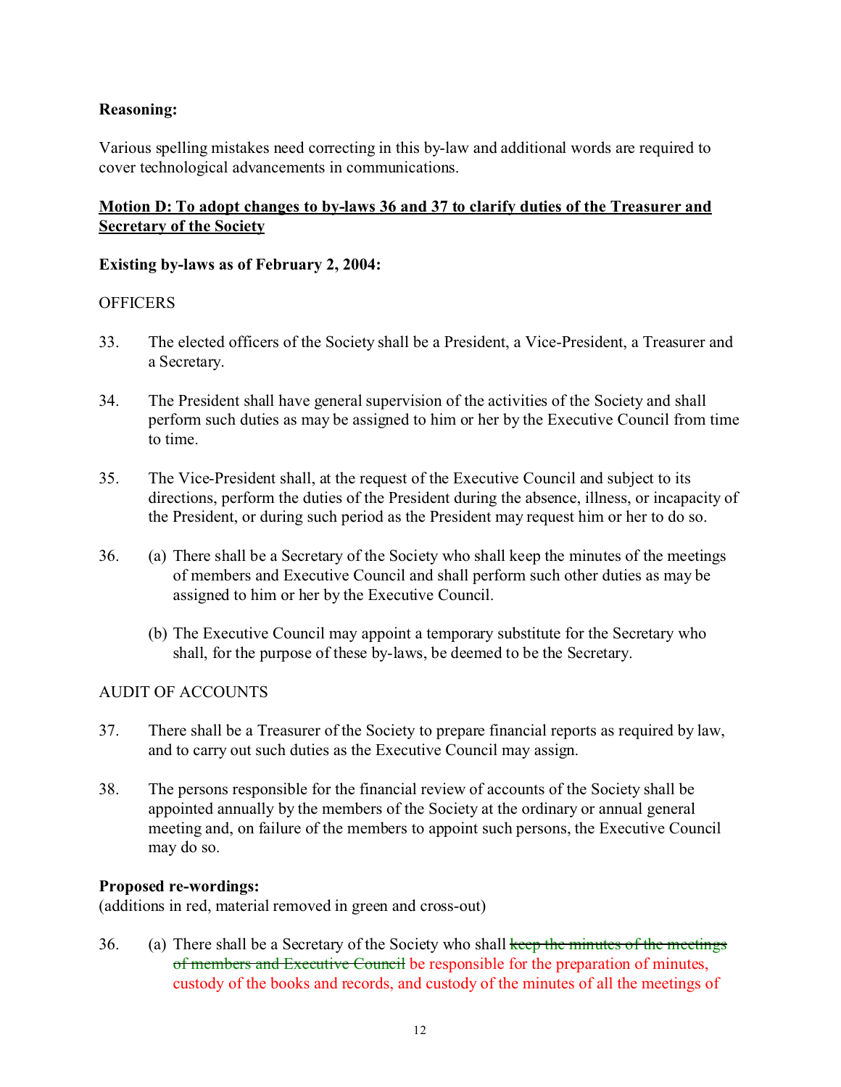#### **Reasoning:**

Various spelling mistakes need correcting in this by-law and additional words are required to cover technological advancements in communications.

#### **Motion D: To adopt changes to by-laws 36 and 37 to clarify duties of the Treasurer and Secretary of the Society**

#### **Existing by-laws as of February 2, 2004:**

#### **OFFICERS**

- 33. The elected officers of the Society shall be a President, a Vice-President, a Treasurer and a Secretary.
- 34. The President shall have general supervision of the activities of the Society and shall perform such duties as may be assigned to him or her by the Executive Council from time to time.
- 35. The Vice-President shall, at the request of the Executive Council and subject to its directions, perform the duties of the President during the absence, illness, or incapacity of the President, or during such period as the President may request him or her to do so.
- 36. (a) There shall be a Secretary of the Society who shall keep the minutes of the meetings of members and Executive Council and shall perform such other duties as may be assigned to him or her by the Executive Council.
	- (b) The Executive Council may appoint a temporary substitute for the Secretary who shall, for the purpose of these by-laws, be deemed to be the Secretary.

#### AUDIT OF ACCOUNTS

- 37. There shall be a Treasurer of the Society to prepare financial reports as required by law, and to carry out such duties as the Executive Council may assign.
- 38. The persons responsible for the financial review of accounts of the Society shall be appointed annually by the members of the Society at the ordinary or annual general meeting and, on failure of the members to appoint such persons, the Executive Council may do so.

#### **Proposed re-wordings:**

(additions in red, material removed in green and cross-out)

36. (a) There shall be a Secretary of the Society who shall keep the minutes of the meetings of members and Executive Council be responsible for the preparation of minutes, custody of the books and records, and custody of the minutes of all the meetings of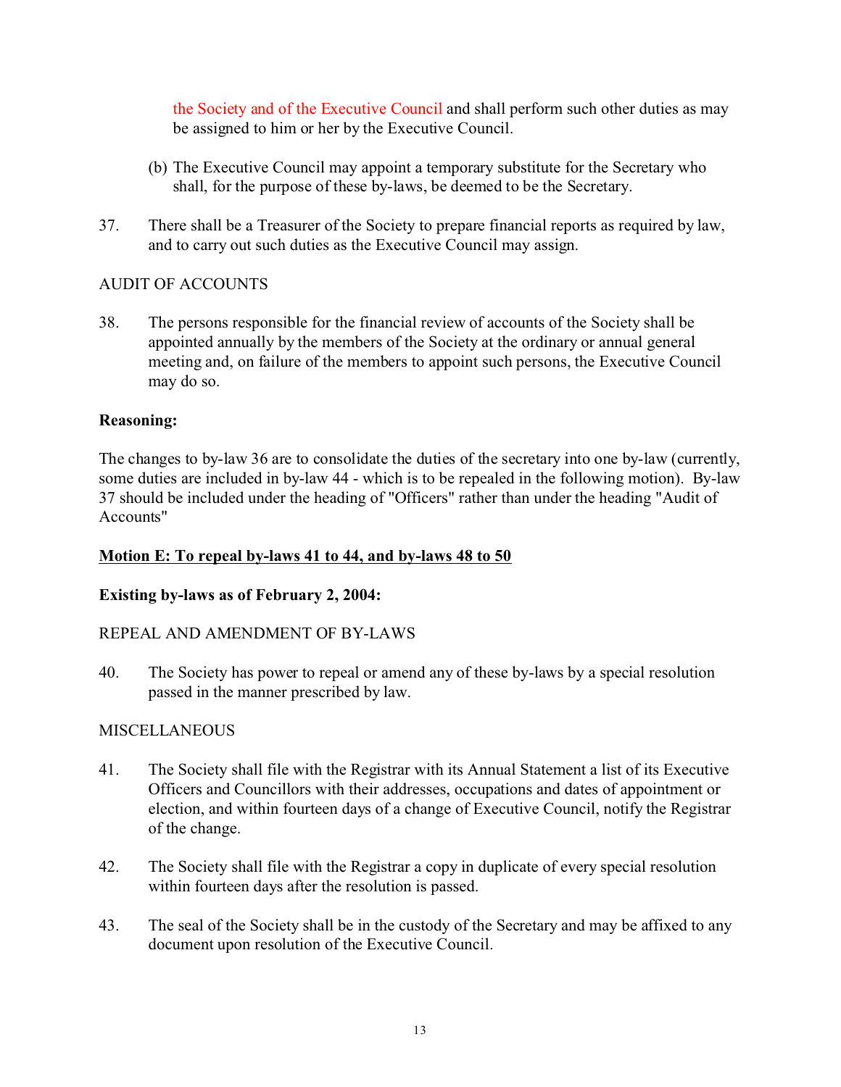the Society and of the Executive Council and shall perform such other duties as may be assigned to him or her by the Executive Council.

- (b) The Executive Council may appoint a temporary substitute for the Secretary who shall, for the purpose of these by-laws, be deemed to be the Secretary.
- 37. There shall be a Treasurer of the Society to prepare financial reports as required by law, and to carry out such duties as the Executive Council may assign.

## AUDIT OF ACCOUNTS

38. The persons responsible for the financial review of accounts of the Society shall be appointed annually by the members of the Society at the ordinary or annual general meeting and, on failure of the members to appoint such persons, the Executive Council may do so.

## **Reasoning:**

The changes to by-law 36 are to consolidate the duties of the secretary into one by-law (currently, some duties are included in by-law 44 - which is to be repealed in the following motion). By-law 37 should be included under the heading of "Officers" rather than under the heading "Audit of Accounts"

#### **Motion E: To repeal by-laws 41 to 44, and by-laws 48 to 50**

#### **Existing by-laws as of February 2, 2004:**

#### REPEAL AND AMENDMENT OF BY-LAWS

40. The Society has power to repeal or amend any of these by-laws by a special resolution passed in the manner prescribed by law.

#### **MISCELLANEOUS**

- 41. The Society shall file with the Registrar with its Annual Statement a list of its Executive Officers and Councillors with their addresses, occupations and dates of appointment or election, and within fourteen days of a change of Executive Council, notify the Registrar of the change.
- 42. The Society shall file with the Registrar a copy in duplicate of every special resolution within fourteen days after the resolution is passed.
- 43. The seal of the Society shall be in the custody of the Secretary and may be affixed to any document upon resolution of the Executive Council.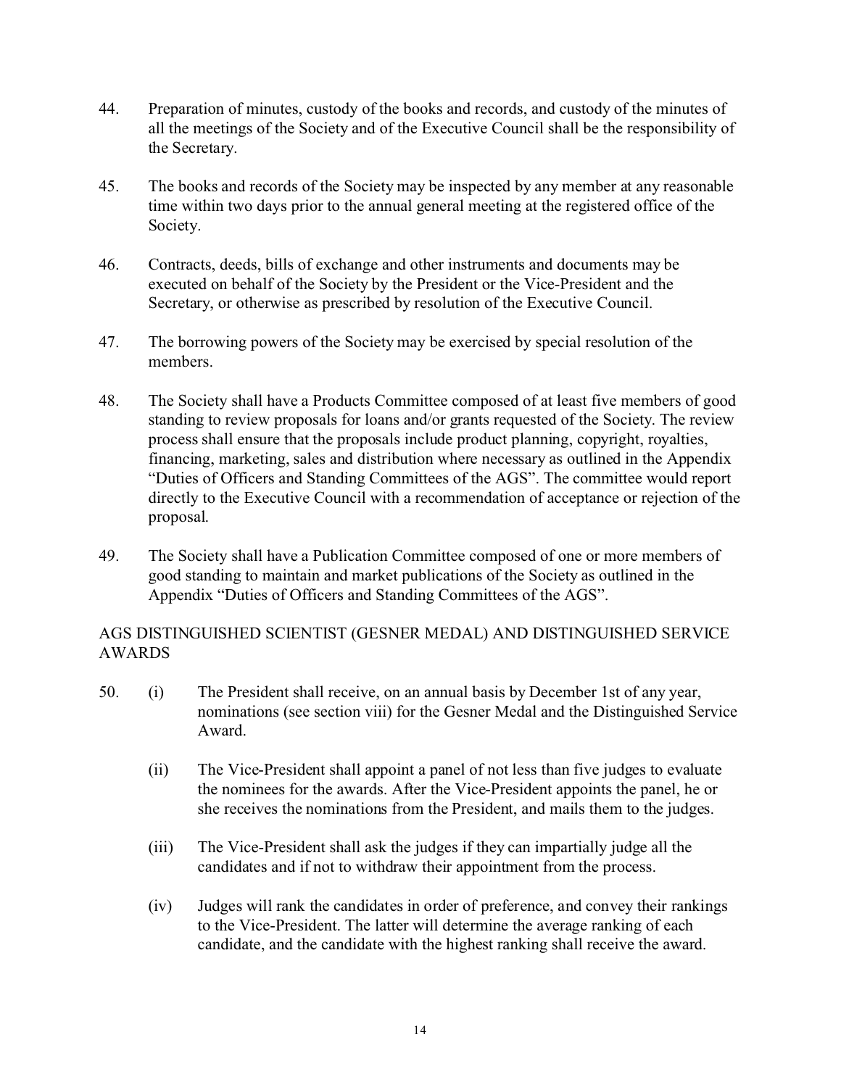- 44. Preparation of minutes, custody of the books and records, and custody of the minutes of all the meetings of the Society and of the Executive Council shall be the responsibility of the Secretary.
- 45. The books and records of the Society may be inspected by any member at any reasonable time within two days prior to the annual general meeting at the registered office of the Society.
- 46. Contracts, deeds, bills of exchange and other instruments and documents may be executed on behalf of the Society by the President or the Vice-President and the Secretary, or otherwise as prescribed by resolution of the Executive Council.
- 47. The borrowing powers of the Society may be exercised by special resolution of the members.
- 48. The Society shall have a Products Committee composed of at least five members of good standing to review proposals for loans and/or grants requested of the Society. The review process shall ensure that the proposals include product planning, copyright, royalties, financing, marketing, sales and distribution where necessary as outlined in the Appendix "Duties of Officers and Standing Committees of the AGS". The committee would report directly to the Executive Council with a recommendation of acceptance or rejection of the proposal.
- 49. The Society shall have a Publication Committee composed of one or more members of good standing to maintain and market publications of the Society as outlined in the Appendix "Duties of Officers and Standing Committees of the AGS".

## AGS DISTINGUISHED SCIENTIST (GESNER MEDAL) AND DISTINGUISHED SERVICE AWARDS

- 50. (i) The President shall receive, on an annual basis by December 1st of any year, nominations (see section viii) for the Gesner Medal and the Distinguished Service Award.
	- (ii) The Vice-President shall appoint a panel of not less than five judges to evaluate the nominees for the awards. After the Vice-President appoints the panel, he or she receives the nominations from the President, and mails them to the judges.
	- (iii) The Vice-President shall ask the judges if they can impartially judge all the candidates and if not to withdraw their appointment from the process.
	- (iv) Judges will rank the candidates in order of preference, and convey their rankings to the Vice-President. The latter will determine the average ranking of each candidate, and the candidate with the highest ranking shall receive the award.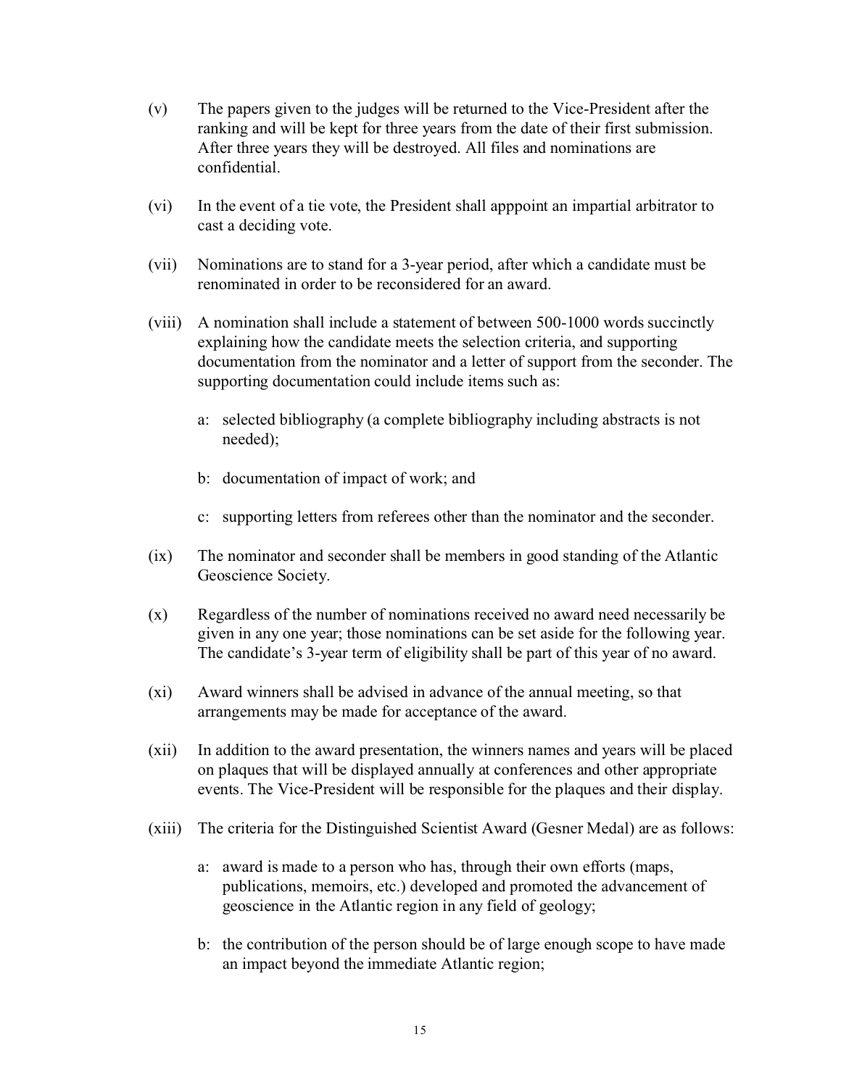- (v) The papers given to the judges will be returned to the Vice-President after the ranking and will be kept for three years from the date of their first submission. After three years they will be destroyed. All files and nominations are confidential.
- (vi) In the event of a tie vote, the President shall apppoint an impartial arbitrator to cast a deciding vote.
- (vii) Nominations are to stand for a 3-year period, after which a candidate must be renominated in order to be reconsidered for an award.
- (viii) A nomination shall include a statement of between 500-1000 words succinctly explaining how the candidate meets the selection criteria, and supporting documentation from the nominator and a letter of support from the seconder. The supporting documentation could include items such as:
	- a: selected bibliography (a complete bibliography including abstracts is not needed);
	- b: documentation of impact of work; and
	- c: supporting letters from referees other than the nominator and the seconder.
- (ix) The nominator and seconder shall be members in good standing of the Atlantic Geoscience Society.
- (x) Regardless of the number of nominations received no award need necessarily be given in any one year; those nominations can be set aside for the following year. The candidate's 3-year term of eligibility shall be part of this year of no award.
- (xi) Award winners shall be advised in advance of the annual meeting, so that arrangements may be made for acceptance of the award.
- (xii) In addition to the award presentation, the winners names and years will be placed on plaques that will be displayed annually at conferences and other appropriate events. The Vice-President will be responsible for the plaques and their display.
- (xiii) The criteria for the Distinguished Scientist Award (Gesner Medal) are as follows:
	- a: award is made to a person who has, through their own efforts (maps, publications, memoirs, etc.) developed and promoted the advancement of geoscience in the Atlantic region in any field of geology;
	- b: the contribution of the person should be of large enough scope to have made an impact beyond the immediate Atlantic region;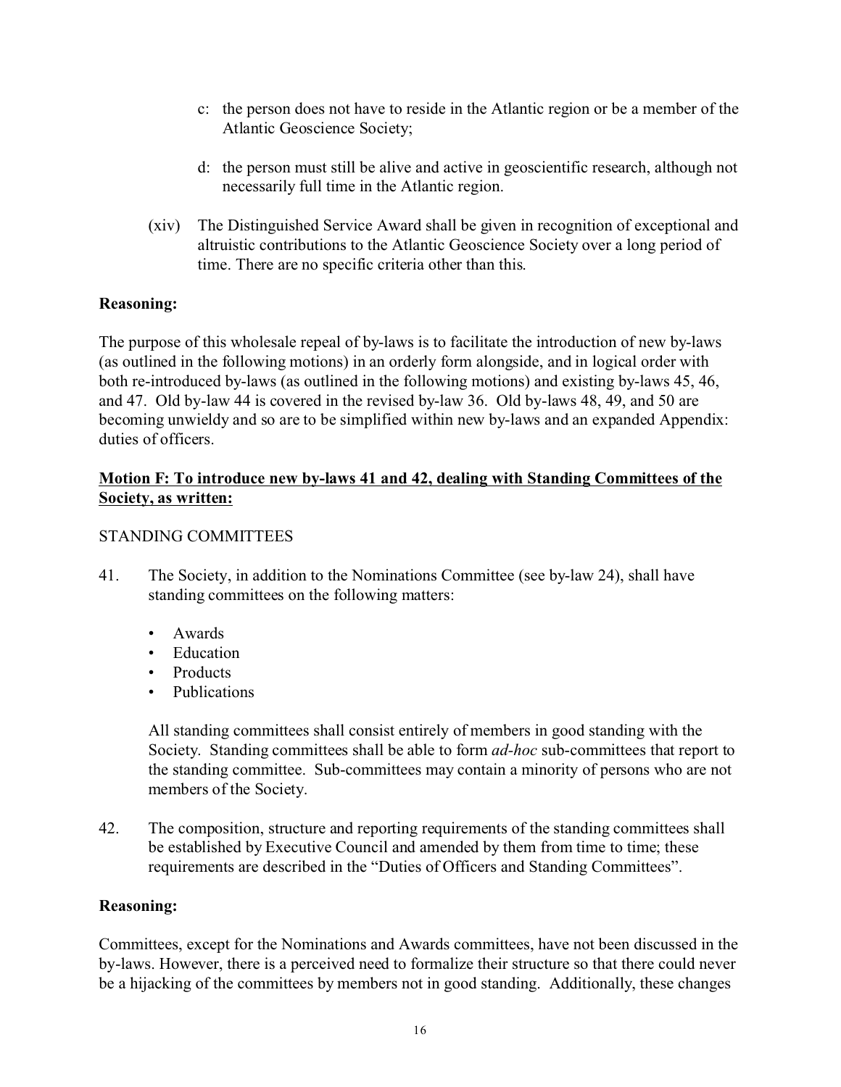- c: the person does not have to reside in the Atlantic region or be a member of the Atlantic Geoscience Society;
- d: the person must still be alive and active in geoscientific research, although not necessarily full time in the Atlantic region.
- (xiv) The Distinguished Service Award shall be given in recognition of exceptional and altruistic contributions to the Atlantic Geoscience Society over a long period of time. There are no specific criteria other than this.

#### **Reasoning:**

The purpose of this wholesale repeal of by-laws is to facilitate the introduction of new by-laws (as outlined in the following motions) in an orderly form alongside, and in logical order with both re-introduced by-laws (as outlined in the following motions) and existing by-laws 45, 46, and 47. Old by-law 44 is covered in the revised by-law 36. Old by-laws 48, 49, and 50 are becoming unwieldy and so are to be simplified within new by-laws and an expanded Appendix: duties of officers.

#### **Motion F: To introduce new by-laws 41 and 42, dealing with Standing Committees of the Society, as written:**

#### STANDING COMMITTEES

- 41. The Society, in addition to the Nominations Committee (see by-law 24), shall have standing committees on the following matters:
	- Awards
	- Education
	- Products
	- Publications

All standing committees shall consist entirely of members in good standing with the Society. Standing committees shall be able to form *ad-hoc* sub-committees that report to the standing committee. Sub-committees may contain a minority of persons who are not members of the Society.

42. The composition, structure and reporting requirements of the standing committees shall be established by Executive Council and amended by them from time to time; these requirements are described in the "Duties of Officers and Standing Committees".

#### **Reasoning:**

Committees, except for the Nominations and Awards committees, have not been discussed in the by-laws. However, there is a perceived need to formalize their structure so that there could never be a hijacking of the committees by members not in good standing. Additionally, these changes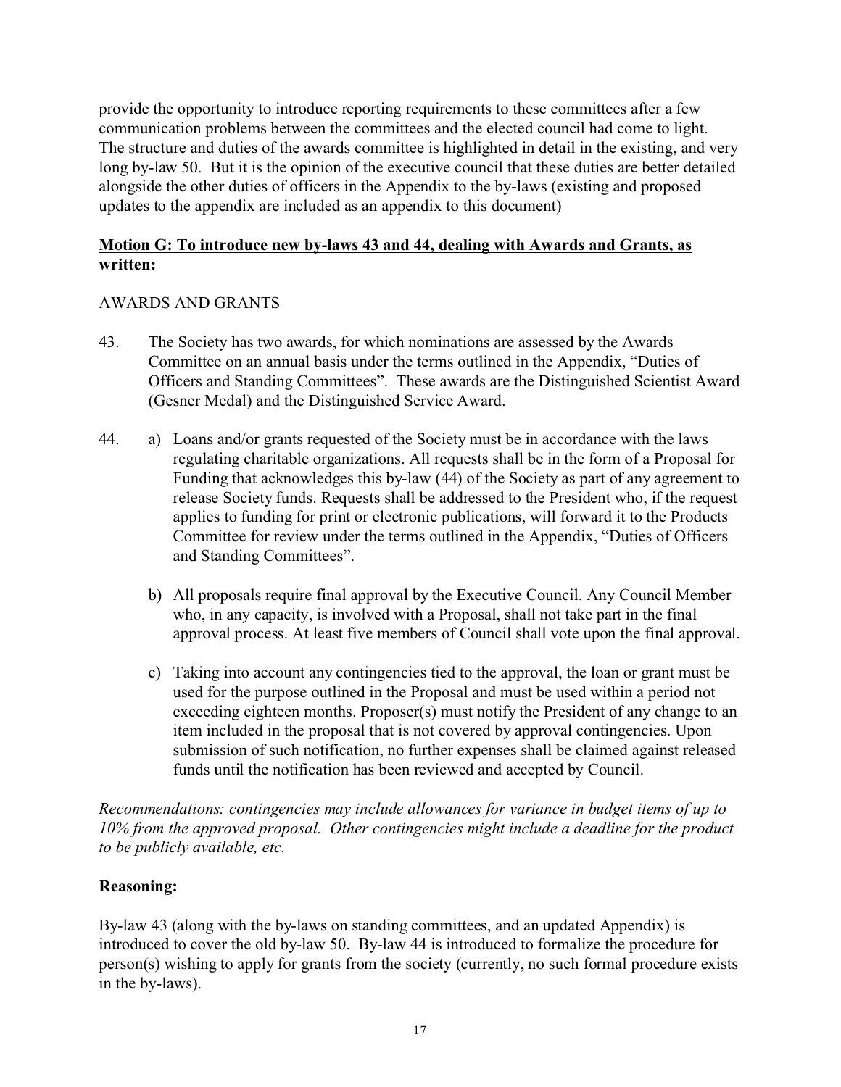provide the opportunity to introduce reporting requirements to these committees after a few communication problems between the committees and the elected council had come to light. The structure and duties of the awards committee is highlighted in detail in the existing, and very long by-law 50. But it is the opinion of the executive council that these duties are better detailed alongside the other duties of officers in the Appendix to the by-laws (existing and proposed updates to the appendix are included as an appendix to this document)

#### **Motion G: To introduce new by-laws 43 and 44, dealing with Awards and Grants, as written:**

## AWARDS AND GRANTS

- 43. The Society has two awards, for which nominations are assessed by the Awards Committee on an annual basis under the terms outlined in the Appendix, "Duties of Officers and Standing Committees". These awards are the Distinguished Scientist Award (Gesner Medal) and the Distinguished Service Award.
- 44. a) Loans and/or grants requested of the Society must be in accordance with the laws regulating charitable organizations. All requests shall be in the form of a Proposal for Funding that acknowledges this by-law (44) of the Society as part of any agreement to release Society funds. Requests shall be addressed to the President who, if the request applies to funding for print or electronic publications, will forward it to the Products Committee for review under the terms outlined in the Appendix, "Duties of Officers and Standing Committees".
	- b) All proposals require final approval by the Executive Council. Any Council Member who, in any capacity, is involved with a Proposal, shall not take part in the final approval process. At least five members of Council shall vote upon the final approval.
	- c) Taking into account any contingencies tied to the approval, the loan or grant must be used for the purpose outlined in the Proposal and must be used within a period not exceeding eighteen months. Proposer(s) must notify the President of any change to an item included in the proposal that is not covered by approval contingencies. Upon submission of such notification, no further expenses shall be claimed against released funds until the notification has been reviewed and accepted by Council.

*Recommendations: contingencies may include allowances for variance in budget items of up to 10% from the approved proposal. Other contingencies might include a deadline for the product to be publicly available, etc.*

#### **Reasoning:**

By-law 43 (along with the by-laws on standing committees, and an updated Appendix) is introduced to cover the old by-law 50. By-law 44 is introduced to formalize the procedure for person(s) wishing to apply for grants from the society (currently, no such formal procedure exists in the by-laws).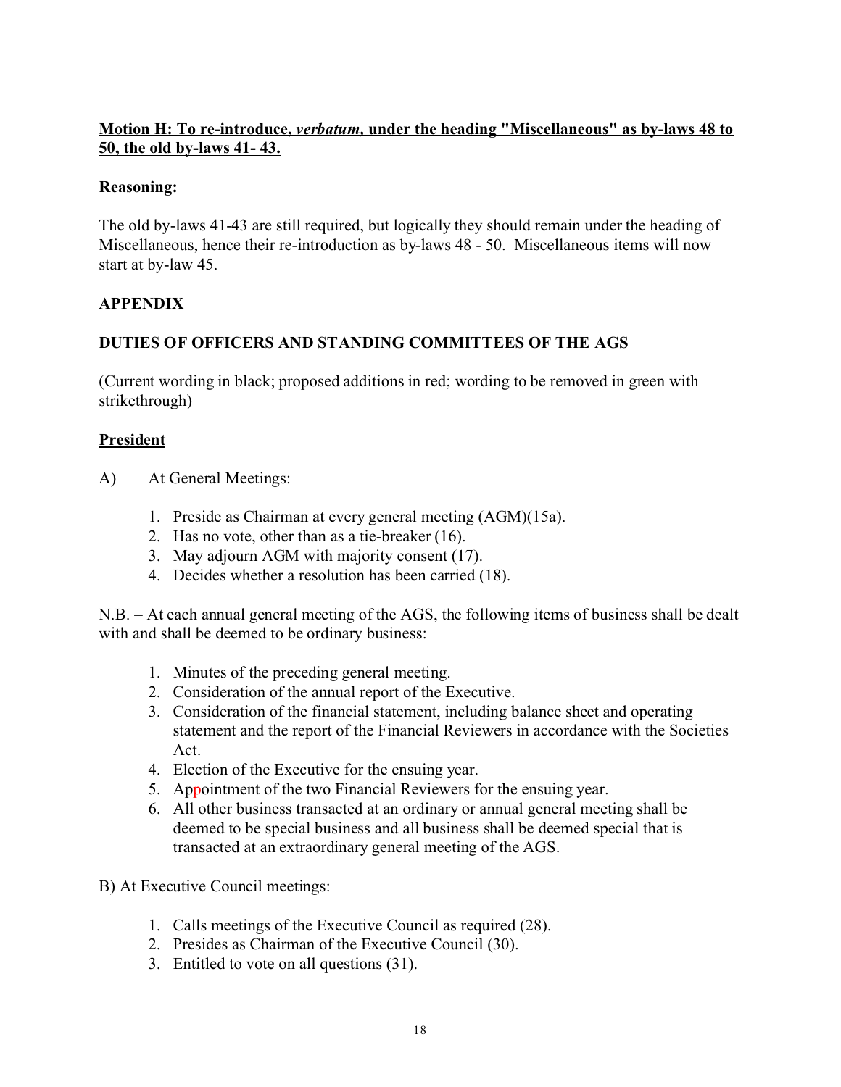## **Motion H: To re-introduce,** *verbatum,* **under the heading "Miscellaneous" as by-laws 48 to 50, the old by-laws 41- 43.**

#### **Reasoning:**

The old by-laws 41-43 are still required, but logically they should remain under the heading of Miscellaneous, hence their re-introduction as by-laws 48 - 50. Miscellaneous items will now start at by-law 45.

#### **APPENDIX**

## **DUTIES OF OFFICERS AND STANDING COMMITTEES OF THE AGS**

(Current wording in black; proposed additions in red; wording to be removed in green with strikethrough)

#### **President**

- A) At General Meetings:
	- 1. Preside as Chairman at every general meeting (AGM)(15a).
	- 2. Has no vote, other than as a tie-breaker (16).
	- 3. May adjourn AGM with majority consent (17).
	- 4. Decides whether a resolution has been carried (18).

N.B. – At each annual general meeting of the AGS, the following items of business shall be dealt with and shall be deemed to be ordinary business:

- 1. Minutes of the preceding general meeting.
- 2. Consideration of the annual report of the Executive.
- 3. Consideration of the financial statement, including balance sheet and operating statement and the report of the Financial Reviewers in accordance with the Societies Act.
- 4. Election of the Executive for the ensuing year.
- 5. Appointment of the two Financial Reviewers for the ensuing year.
- 6. All other business transacted at an ordinary or annual general meeting shall be deemed to be special business and all business shall be deemed special that is transacted at an extraordinary general meeting of the AGS.

B) At Executive Council meetings:

- 1. Calls meetings of the Executive Council as required (28).
- 2. Presides as Chairman of the Executive Council (30).
- 3. Entitled to vote on all questions (31).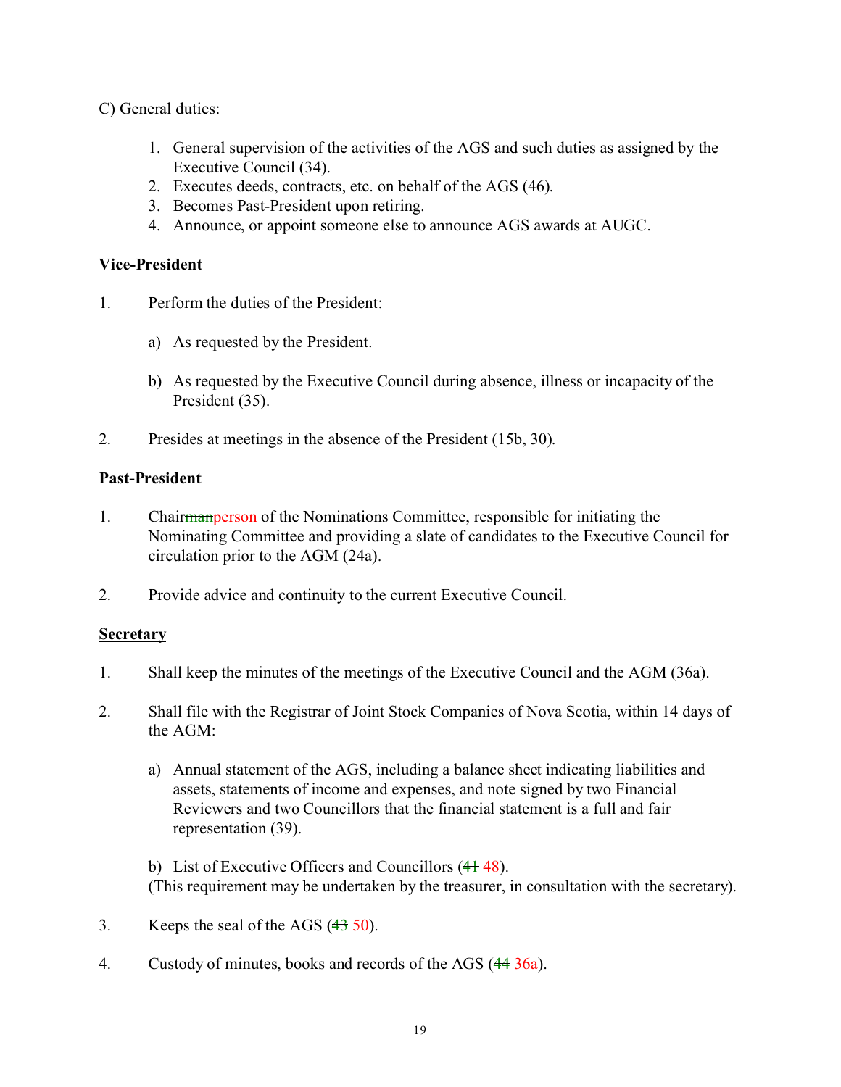C) General duties:

- 1. General supervision of the activities of the AGS and such duties as assigned by the Executive Council (34).
- 2. Executes deeds, contracts, etc. on behalf of the AGS (46).
- 3. Becomes Past-President upon retiring.
- 4. Announce, or appoint someone else to announce AGS awards at AUGC.

## **Vice-President**

- 1. Perform the duties of the President:
	- a) As requested by the President.
	- b) As requested by the Executive Council during absence, illness or incapacity of the President (35).
- 2. Presides at meetings in the absence of the President (15b, 30).

## **Past-President**

- 1. Chairmanperson of the Nominations Committee, responsible for initiating the Nominating Committee and providing a slate of candidates to the Executive Council for circulation prior to the AGM (24a).
- 2. Provide advice and continuity to the current Executive Council.

#### **Secretary**

- 1. Shall keep the minutes of the meetings of the Executive Council and the AGM (36a).
- 2. Shall file with the Registrar of Joint Stock Companies of Nova Scotia, within 14 days of the AGM:
	- a) Annual statement of the AGS, including a balance sheet indicating liabilities and assets, statements of income and expenses, and note signed by two Financial Reviewers and two Councillors that the financial statement is a full and fair representation (39).

b) List of Executive Officers and Councillors  $(41 48)$ . (This requirement may be undertaken by the treasurer, in consultation with the secretary).

- 3. Keeps the seal of the AGS  $(43\,50)$ .
- 4. Custody of minutes, books and records of the AGS (44 36a).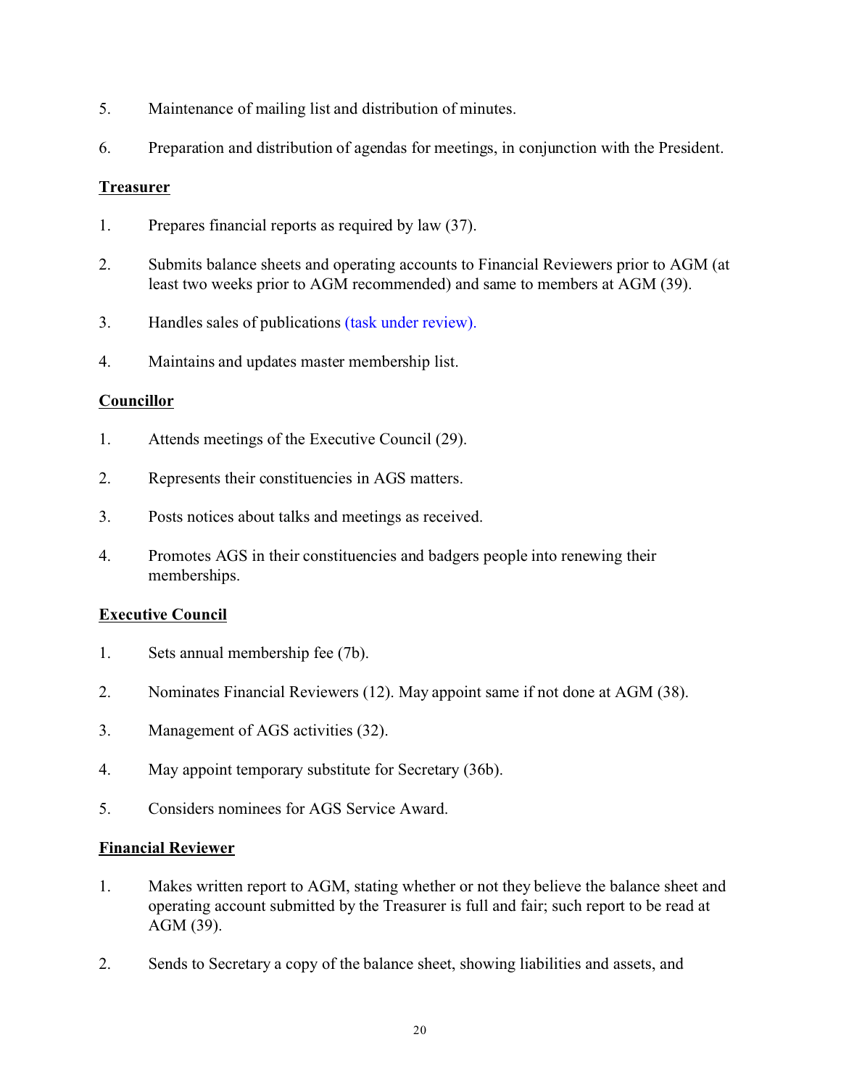- 5. Maintenance of mailing list and distribution of minutes.
- 6. Preparation and distribution of agendas for meetings, in conjunction with the President.

#### **Treasurer**

- 1. Prepares financial reports as required by law (37).
- 2. Submits balance sheets and operating accounts to Financial Reviewers prior to AGM (at least two weeks prior to AGM recommended) and same to members at AGM (39).
- 3. Handles sales of publications (task under review).
- 4. Maintains and updates master membership list.

## **Councillor**

- 1. Attends meetings of the Executive Council (29).
- 2. Represents their constituencies in AGS matters.
- 3. Posts notices about talks and meetings as received.
- 4. Promotes AGS in their constituencies and badgers people into renewing their memberships.

#### **Executive Council**

- 1. Sets annual membership fee (7b).
- 2. Nominates Financial Reviewers (12). May appoint same if not done at AGM (38).
- 3. Management of AGS activities (32).
- 4. May appoint temporary substitute for Secretary (36b).
- 5. Considers nominees for AGS Service Award.

#### **Financial Reviewer**

- 1. Makes written report to AGM, stating whether or not they believe the balance sheet and operating account submitted by the Treasurer is full and fair; such report to be read at AGM (39).
- 2. Sends to Secretary a copy of the balance sheet, showing liabilities and assets, and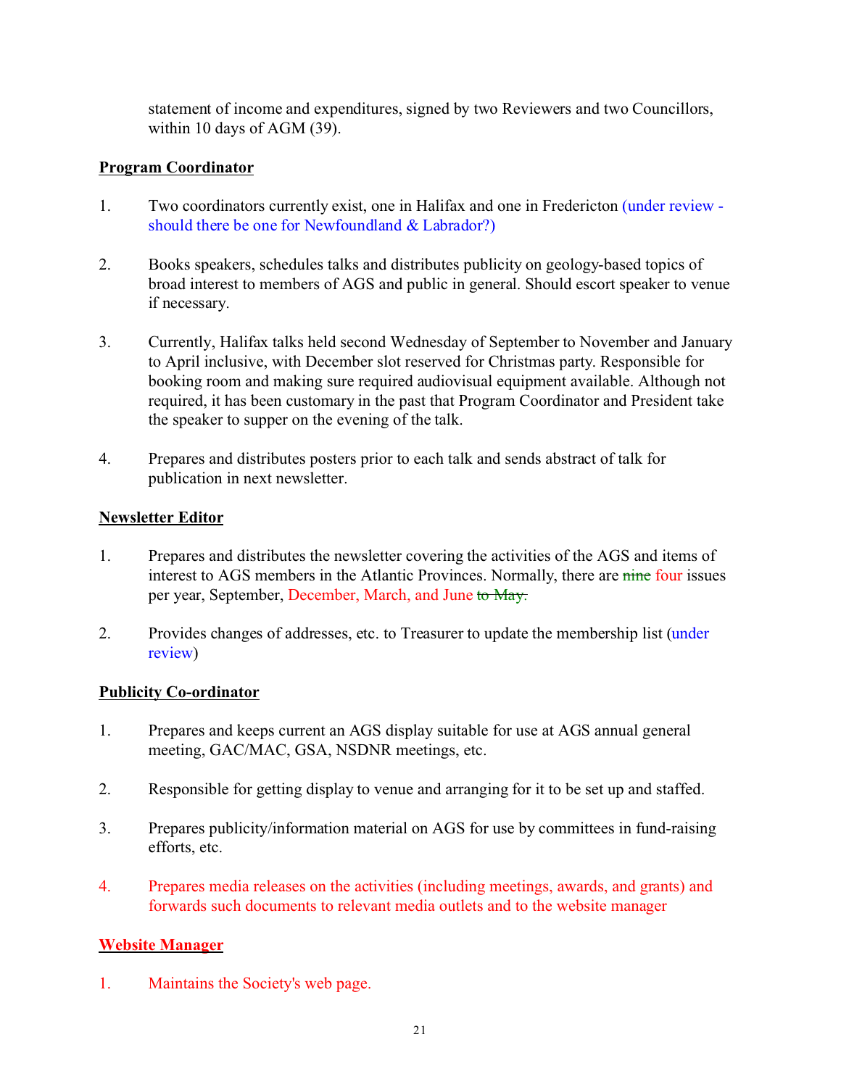statement of income and expenditures, signed by two Reviewers and two Councillors, within 10 days of AGM (39).

## **Program Coordinator**

- 1. Two coordinators currently exist, one in Halifax and one in Fredericton (under review should there be one for Newfoundland & Labrador?)
- 2. Books speakers, schedules talks and distributes publicity on geology-based topics of broad interest to members of AGS and public in general. Should escort speaker to venue if necessary.
- 3. Currently, Halifax talks held second Wednesday of September to November and January to April inclusive, with December slot reserved for Christmas party. Responsible for booking room and making sure required audiovisual equipment available. Although not required, it has been customary in the past that Program Coordinator and President take the speaker to supper on the evening of the talk.
- 4. Prepares and distributes posters prior to each talk and sends abstract of talk for publication in next newsletter.

## **Newsletter Editor**

- 1. Prepares and distributes the newsletter covering the activities of the AGS and items of interest to AGS members in the Atlantic Provinces. Normally, there are nine four issues per year, September, December, March, and June to May.
- 2. Provides changes of addresses, etc. to Treasurer to update the membership list (under review)

#### **Publicity Co-ordinator**

- 1. Prepares and keeps current an AGS display suitable for use at AGS annual general meeting, GAC/MAC, GSA, NSDNR meetings, etc.
- 2. Responsible for getting display to venue and arranging for it to be set up and staffed.
- 3. Prepares publicity/information material on AGS for use by committees in fund-raising efforts, etc.
- 4. Prepares media releases on the activities (including meetings, awards, and grants) and forwards such documents to relevant media outlets and to the website manager

## **Website Manager**

1. Maintains the Society's web page.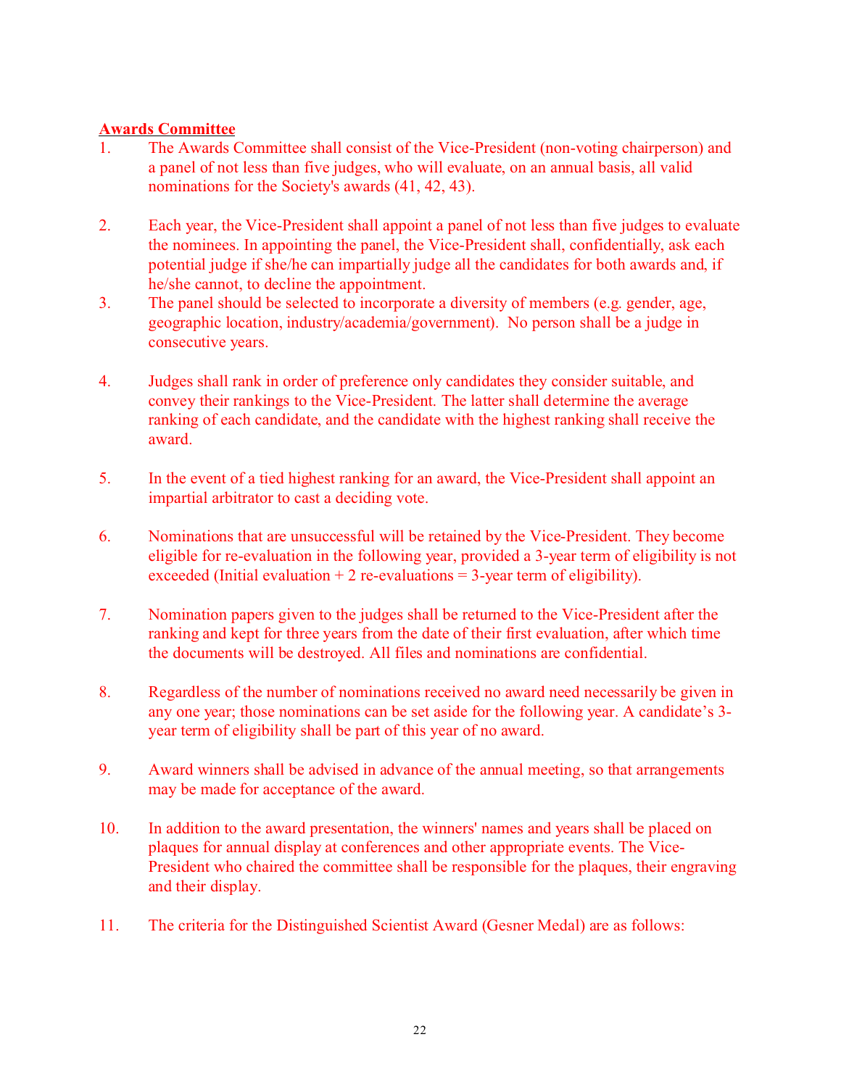#### **Awards Committee**

- 1. The Awards Committee shall consist of the Vice-President (non-voting chairperson) and a panel of not less than five judges, who will evaluate, on an annual basis, all valid nominations for the Society's awards (41, 42, 43).
- 2. Each year, the Vice-President shall appoint a panel of not less than five judges to evaluate the nominees. In appointing the panel, the Vice-President shall, confidentially, ask each potential judge if she/he can impartially judge all the candidates for both awards and, if he/she cannot, to decline the appointment.
- 3. The panel should be selected to incorporate a diversity of members (e.g. gender, age, geographic location, industry/academia/government). No person shall be a judge in consecutive years.
- 4. Judges shall rank in order of preference only candidates they consider suitable, and convey their rankings to the Vice-President. The latter shall determine the average ranking of each candidate, and the candidate with the highest ranking shall receive the award.
- 5. In the event of a tied highest ranking for an award, the Vice-President shall appoint an impartial arbitrator to cast a deciding vote.
- 6. Nominations that are unsuccessful will be retained by the Vice-President. They become eligible for re-evaluation in the following year, provided a 3-year term of eligibility is not exceeded (Initial evaluation  $+ 2$  re-evaluations  $= 3$ -year term of eligibility).
- 7. Nomination papers given to the judges shall be returned to the Vice-President after the ranking and kept for three years from the date of their first evaluation, after which time the documents will be destroyed. All files and nominations are confidential.
- 8. Regardless of the number of nominations received no award need necessarily be given in any one year; those nominations can be set aside for the following year. A candidate's 3 year term of eligibility shall be part of this year of no award.
- 9. Award winners shall be advised in advance of the annual meeting, so that arrangements may be made for acceptance of the award.
- 10. In addition to the award presentation, the winners' names and years shall be placed on plaques for annual display at conferences and other appropriate events. The Vice-President who chaired the committee shall be responsible for the plaques, their engraving and their display.
- 11. The criteria for the Distinguished Scientist Award (Gesner Medal) are as follows: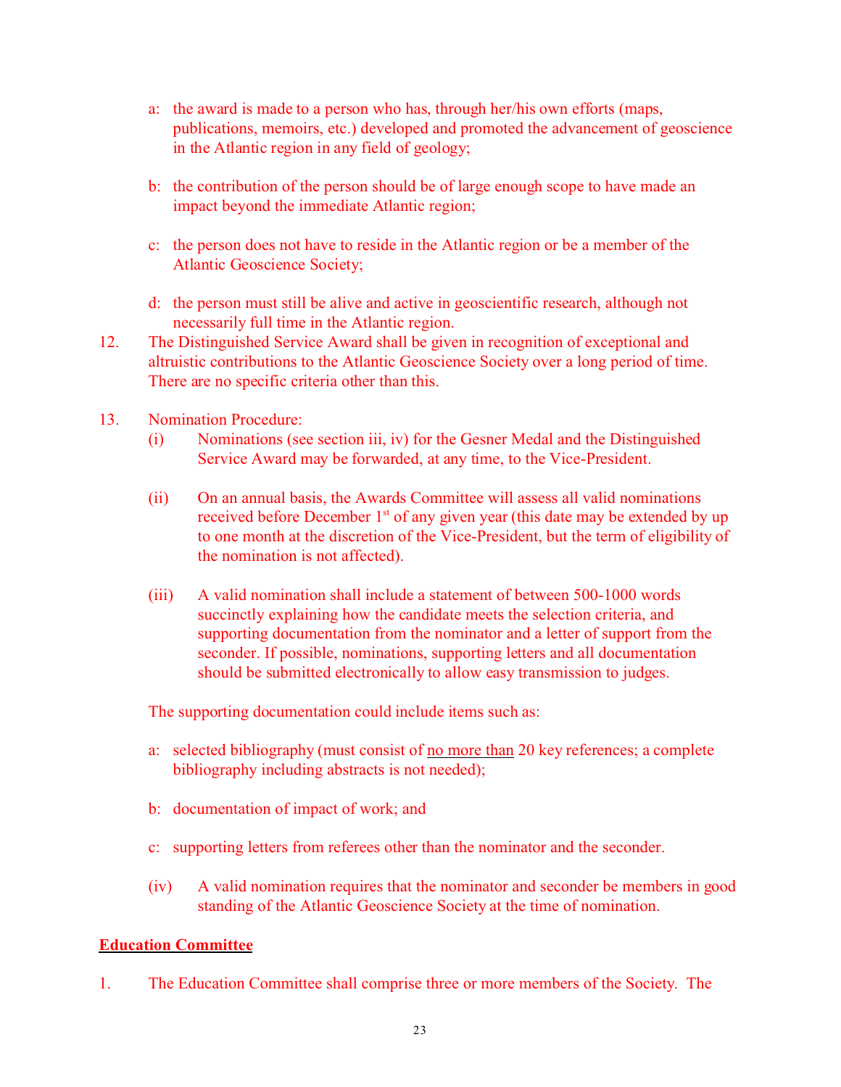- a: the award is made to a person who has, through her/his own efforts (maps, publications, memoirs, etc.) developed and promoted the advancement of geoscience in the Atlantic region in any field of geology;
- b: the contribution of the person should be of large enough scope to have made an impact beyond the immediate Atlantic region;
- c: the person does not have to reside in the Atlantic region or be a member of the Atlantic Geoscience Society;
- d: the person must still be alive and active in geoscientific research, although not necessarily full time in the Atlantic region.
- 12. The Distinguished Service Award shall be given in recognition of exceptional and altruistic contributions to the Atlantic Geoscience Society over a long period of time. There are no specific criteria other than this.
- 13. Nomination Procedure:
	- (i) Nominations (see section iii, iv) for the Gesner Medal and the Distinguished Service Award may be forwarded, at any time, to the Vice-President.
	- (ii) On an annual basis, the Awards Committee will assess all valid nominations received before December  $1<sup>st</sup>$  of any given year (this date may be extended by up to one month at the discretion of the Vice-President, but the term of eligibility of the nomination is not affected).
	- (iii) A valid nomination shall include a statement of between 500-1000 words succinctly explaining how the candidate meets the selection criteria, and supporting documentation from the nominator and a letter of support from the seconder. If possible, nominations, supporting letters and all documentation should be submitted electronically to allow easy transmission to judges.

The supporting documentation could include items such as:

- a: selected bibliography (must consist of no more than 20 key references; a complete bibliography including abstracts is not needed);
- b: documentation of impact of work; and
- c: supporting letters from referees other than the nominator and the seconder.
- (iv) A valid nomination requires that the nominator and seconder be members in good standing of the Atlantic Geoscience Society at the time of nomination.

## **Education Committee**

1. The Education Committee shall comprise three or more members of the Society. The